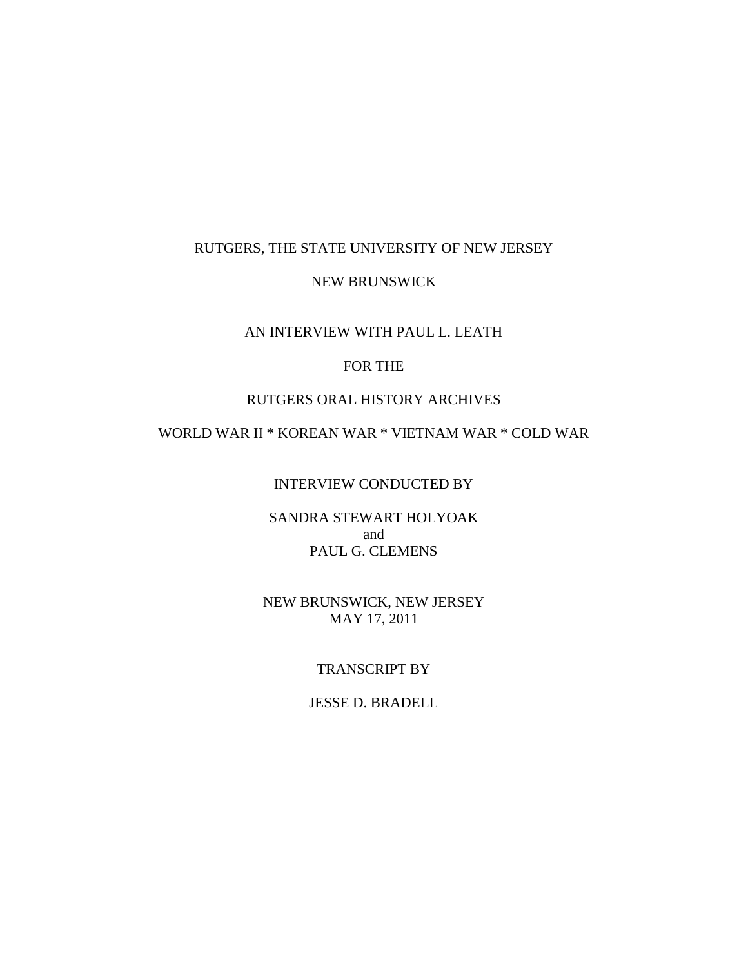## RUTGERS, THE STATE UNIVERSITY OF NEW JERSEY

### NEW BRUNSWICK

## AN INTERVIEW WITH PAUL L. LEATH

## FOR THE

## RUTGERS ORAL HISTORY ARCHIVES

# WORLD WAR II \* KOREAN WAR \* VIETNAM WAR \* COLD WAR

## INTERVIEW CONDUCTED BY

## SANDRA STEWART HOLYOAK and PAUL G. CLEMENS

## NEW BRUNSWICK, NEW JERSEY MAY 17, 2011

## TRANSCRIPT BY

### JESSE D. BRADELL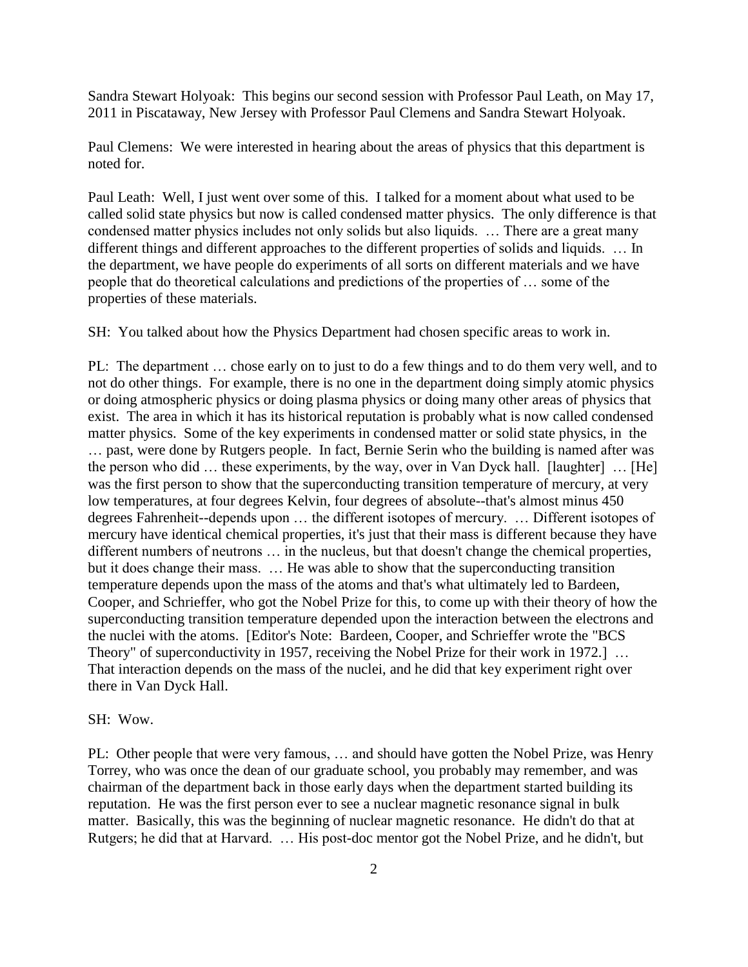Sandra Stewart Holyoak: This begins our second session with Professor Paul Leath, on May 17, 2011 in Piscataway, New Jersey with Professor Paul Clemens and Sandra Stewart Holyoak.

Paul Clemens: We were interested in hearing about the areas of physics that this department is noted for.

Paul Leath: Well, I just went over some of this. I talked for a moment about what used to be called solid state physics but now is called condensed matter physics. The only difference is that condensed matter physics includes not only solids but also liquids. … There are a great many different things and different approaches to the different properties of solids and liquids. … In the department, we have people do experiments of all sorts on different materials and we have people that do theoretical calculations and predictions of the properties of … some of the properties of these materials.

SH: You talked about how the Physics Department had chosen specific areas to work in.

PL: The department … chose early on to just to do a few things and to do them very well, and to not do other things. For example, there is no one in the department doing simply atomic physics or doing atmospheric physics or doing plasma physics or doing many other areas of physics that exist. The area in which it has its historical reputation is probably what is now called condensed matter physics. Some of the key experiments in condensed matter or solid state physics, in the … past, were done by Rutgers people. In fact, Bernie Serin who the building is named after was the person who did … these experiments, by the way, over in Van Dyck hall. [laughter] … [He] was the first person to show that the superconducting transition temperature of mercury, at very low temperatures, at four degrees Kelvin, four degrees of absolute--that's almost minus 450 degrees Fahrenheit--depends upon … the different isotopes of mercury. … Different isotopes of mercury have identical chemical properties, it's just that their mass is different because they have different numbers of neutrons … in the nucleus, but that doesn't change the chemical properties, but it does change their mass. … He was able to show that the superconducting transition temperature depends upon the mass of the atoms and that's what ultimately led to Bardeen, Cooper, and Schrieffer, who got the Nobel Prize for this, to come up with their theory of how the superconducting transition temperature depended upon the interaction between the electrons and the nuclei with the atoms. [Editor's Note: Bardeen, Cooper, and Schrieffer wrote the "BCS Theory" of superconductivity in 1957, receiving the Nobel Prize for their work in 1972.] ... That interaction depends on the mass of the nuclei, and he did that key experiment right over there in Van Dyck Hall.

#### SH: Wow.

PL: Other people that were very famous, … and should have gotten the Nobel Prize, was Henry Torrey, who was once the dean of our graduate school, you probably may remember, and was chairman of the department back in those early days when the department started building its reputation. He was the first person ever to see a nuclear magnetic resonance signal in bulk matter. Basically, this was the beginning of nuclear magnetic resonance. He didn't do that at Rutgers; he did that at Harvard. … His post-doc mentor got the Nobel Prize, and he didn't, but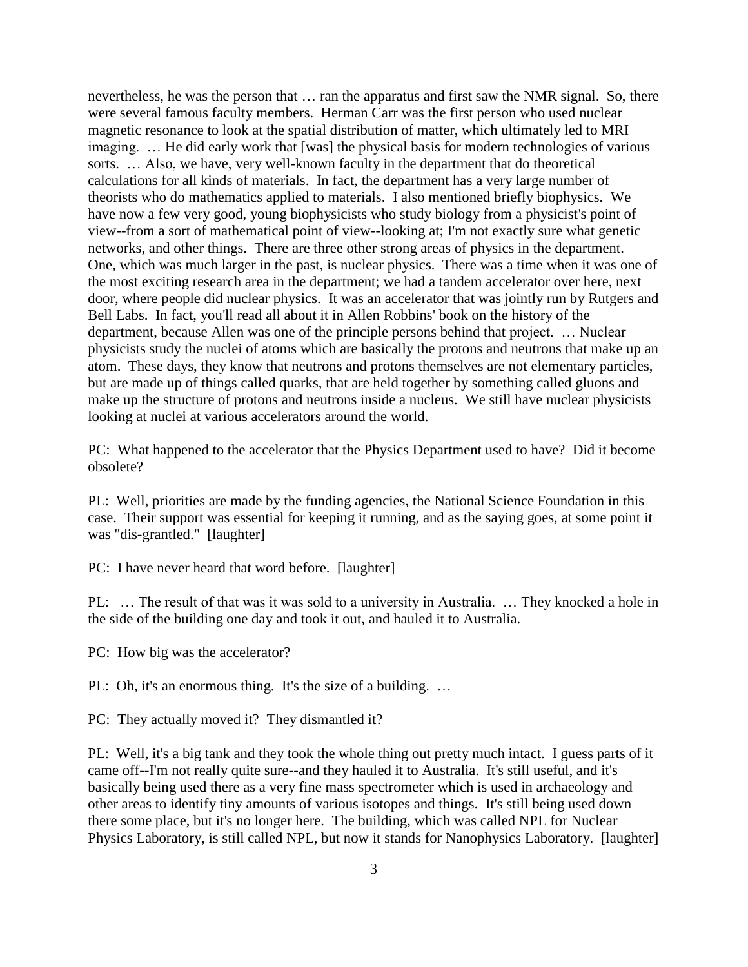nevertheless, he was the person that … ran the apparatus and first saw the NMR signal. So, there were several famous faculty members. Herman Carr was the first person who used nuclear magnetic resonance to look at the spatial distribution of matter, which ultimately led to MRI imaging. … He did early work that [was] the physical basis for modern technologies of various sorts. … Also, we have, very well-known faculty in the department that do theoretical calculations for all kinds of materials. In fact, the department has a very large number of theorists who do mathematics applied to materials. I also mentioned briefly biophysics. We have now a few very good, young biophysicists who study biology from a physicist's point of view--from a sort of mathematical point of view--looking at; I'm not exactly sure what genetic networks, and other things. There are three other strong areas of physics in the department. One, which was much larger in the past, is nuclear physics. There was a time when it was one of the most exciting research area in the department; we had a tandem accelerator over here, next door, where people did nuclear physics. It was an accelerator that was jointly run by Rutgers and Bell Labs. In fact, you'll read all about it in Allen Robbins' book on the history of the department, because Allen was one of the principle persons behind that project. … Nuclear physicists study the nuclei of atoms which are basically the protons and neutrons that make up an atom. These days, they know that neutrons and protons themselves are not elementary particles, but are made up of things called quarks, that are held together by something called gluons and make up the structure of protons and neutrons inside a nucleus. We still have nuclear physicists looking at nuclei at various accelerators around the world.

PC: What happened to the accelerator that the Physics Department used to have? Did it become obsolete?

PL: Well, priorities are made by the funding agencies, the National Science Foundation in this case. Their support was essential for keeping it running, and as the saying goes, at some point it was "dis-grantled." [laughter]

PC: I have never heard that word before. [laughter]

PL: … The result of that was it was sold to a university in Australia. … They knocked a hole in the side of the building one day and took it out, and hauled it to Australia.

PC: How big was the accelerator?

PL: Oh, it's an enormous thing. It's the size of a building. …

PC: They actually moved it? They dismantled it?

PL: Well, it's a big tank and they took the whole thing out pretty much intact. I guess parts of it came off--I'm not really quite sure--and they hauled it to Australia. It's still useful, and it's basically being used there as a very fine mass spectrometer which is used in archaeology and other areas to identify tiny amounts of various isotopes and things. It's still being used down there some place, but it's no longer here. The building, which was called NPL for Nuclear Physics Laboratory, is still called NPL, but now it stands for Nanophysics Laboratory. [laughter]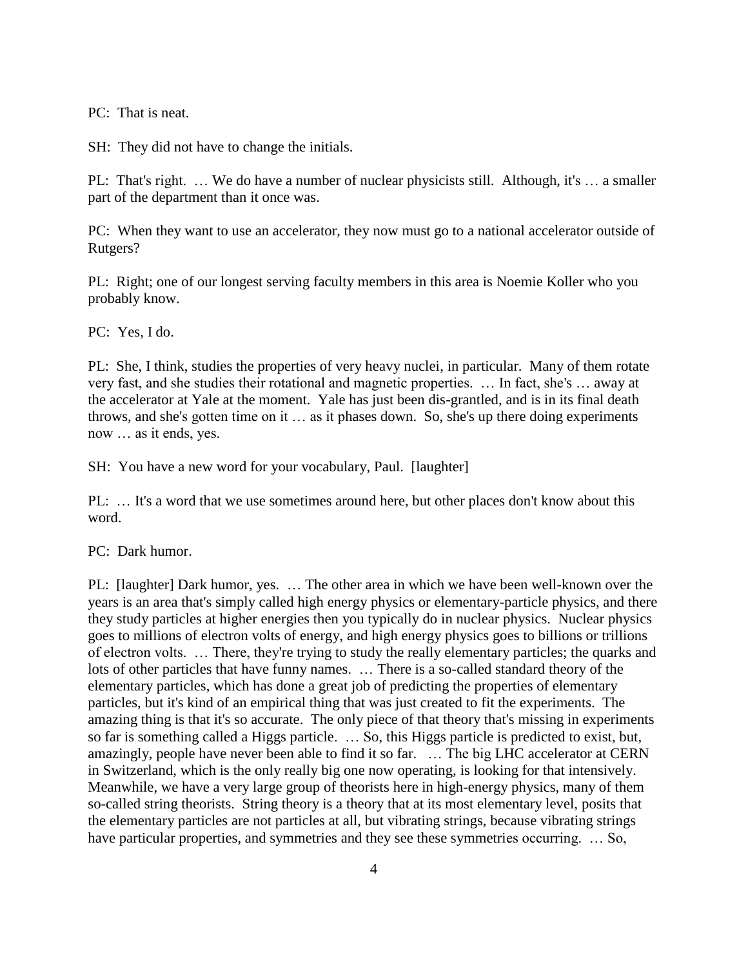PC: That is neat.

SH: They did not have to change the initials.

PL: That's right. … We do have a number of nuclear physicists still. Although, it's … a smaller part of the department than it once was.

PC: When they want to use an accelerator, they now must go to a national accelerator outside of Rutgers?

PL: Right; one of our longest serving faculty members in this area is Noemie Koller who you probably know.

PC: Yes, I do.

PL: She, I think, studies the properties of very heavy nuclei, in particular. Many of them rotate very fast, and she studies their rotational and magnetic properties. … In fact, she's … away at the accelerator at Yale at the moment. Yale has just been dis-grantled, and is in its final death throws, and she's gotten time on it … as it phases down. So, she's up there doing experiments now … as it ends, yes.

SH: You have a new word for your vocabulary, Paul. [laughter]

PL: ... It's a word that we use sometimes around here, but other places don't know about this word.

PC: Dark humor.

PL: [laughter] Dark humor, yes. … The other area in which we have been well-known over the years is an area that's simply called high energy physics or elementary-particle physics, and there they study particles at higher energies then you typically do in nuclear physics. Nuclear physics goes to millions of electron volts of energy, and high energy physics goes to billions or trillions of electron volts. … There, they're trying to study the really elementary particles; the quarks and lots of other particles that have funny names. … There is a so-called standard theory of the elementary particles, which has done a great job of predicting the properties of elementary particles, but it's kind of an empirical thing that was just created to fit the experiments. The amazing thing is that it's so accurate. The only piece of that theory that's missing in experiments so far is something called a Higgs particle. … So, this Higgs particle is predicted to exist, but, amazingly, people have never been able to find it so far. … The big LHC accelerator at CERN in Switzerland, which is the only really big one now operating, is looking for that intensively. Meanwhile, we have a very large group of theorists here in high-energy physics, many of them so-called string theorists. String theory is a theory that at its most elementary level, posits that the elementary particles are not particles at all, but vibrating strings, because vibrating strings have particular properties, and symmetries and they see these symmetries occurring. ... So,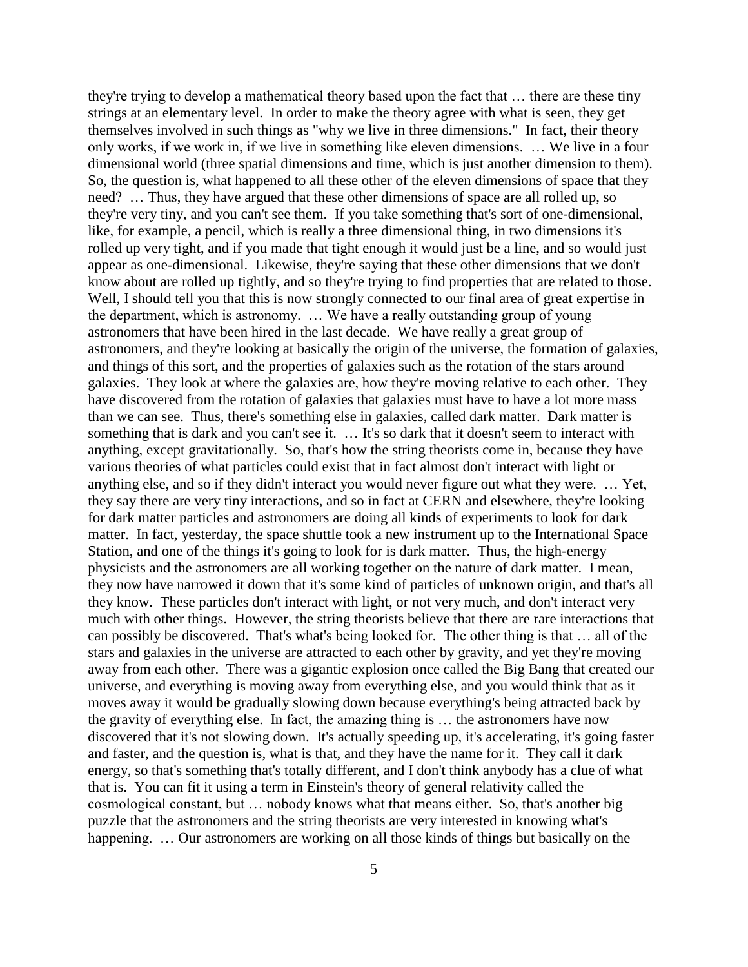they're trying to develop a mathematical theory based upon the fact that … there are these tiny strings at an elementary level. In order to make the theory agree with what is seen, they get themselves involved in such things as "why we live in three dimensions." In fact, their theory only works, if we work in, if we live in something like eleven dimensions. … We live in a four dimensional world (three spatial dimensions and time, which is just another dimension to them). So, the question is, what happened to all these other of the eleven dimensions of space that they need? … Thus, they have argued that these other dimensions of space are all rolled up, so they're very tiny, and you can't see them. If you take something that's sort of one-dimensional, like, for example, a pencil, which is really a three dimensional thing, in two dimensions it's rolled up very tight, and if you made that tight enough it would just be a line, and so would just appear as one-dimensional. Likewise, they're saying that these other dimensions that we don't know about are rolled up tightly, and so they're trying to find properties that are related to those. Well, I should tell you that this is now strongly connected to our final area of great expertise in the department, which is astronomy. … We have a really outstanding group of young astronomers that have been hired in the last decade. We have really a great group of astronomers, and they're looking at basically the origin of the universe, the formation of galaxies, and things of this sort, and the properties of galaxies such as the rotation of the stars around galaxies. They look at where the galaxies are, how they're moving relative to each other. They have discovered from the rotation of galaxies that galaxies must have to have a lot more mass than we can see. Thus, there's something else in galaxies, called dark matter. Dark matter is something that is dark and you can't see it. … It's so dark that it doesn't seem to interact with anything, except gravitationally. So, that's how the string theorists come in, because they have various theories of what particles could exist that in fact almost don't interact with light or anything else, and so if they didn't interact you would never figure out what they were. … Yet, they say there are very tiny interactions, and so in fact at CERN and elsewhere, they're looking for dark matter particles and astronomers are doing all kinds of experiments to look for dark matter. In fact, yesterday, the space shuttle took a new instrument up to the International Space Station, and one of the things it's going to look for is dark matter. Thus, the high-energy physicists and the astronomers are all working together on the nature of dark matter. I mean, they now have narrowed it down that it's some kind of particles of unknown origin, and that's all they know. These particles don't interact with light, or not very much, and don't interact very much with other things. However, the string theorists believe that there are rare interactions that can possibly be discovered. That's what's being looked for. The other thing is that … all of the stars and galaxies in the universe are attracted to each other by gravity, and yet they're moving away from each other. There was a gigantic explosion once called the Big Bang that created our universe, and everything is moving away from everything else, and you would think that as it moves away it would be gradually slowing down because everything's being attracted back by the gravity of everything else. In fact, the amazing thing is … the astronomers have now discovered that it's not slowing down. It's actually speeding up, it's accelerating, it's going faster and faster, and the question is, what is that, and they have the name for it. They call it dark energy, so that's something that's totally different, and I don't think anybody has a clue of what that is. You can fit it using a term in Einstein's theory of general relativity called the cosmological constant, but … nobody knows what that means either. So, that's another big puzzle that the astronomers and the string theorists are very interested in knowing what's happening. ... Our astronomers are working on all those kinds of things but basically on the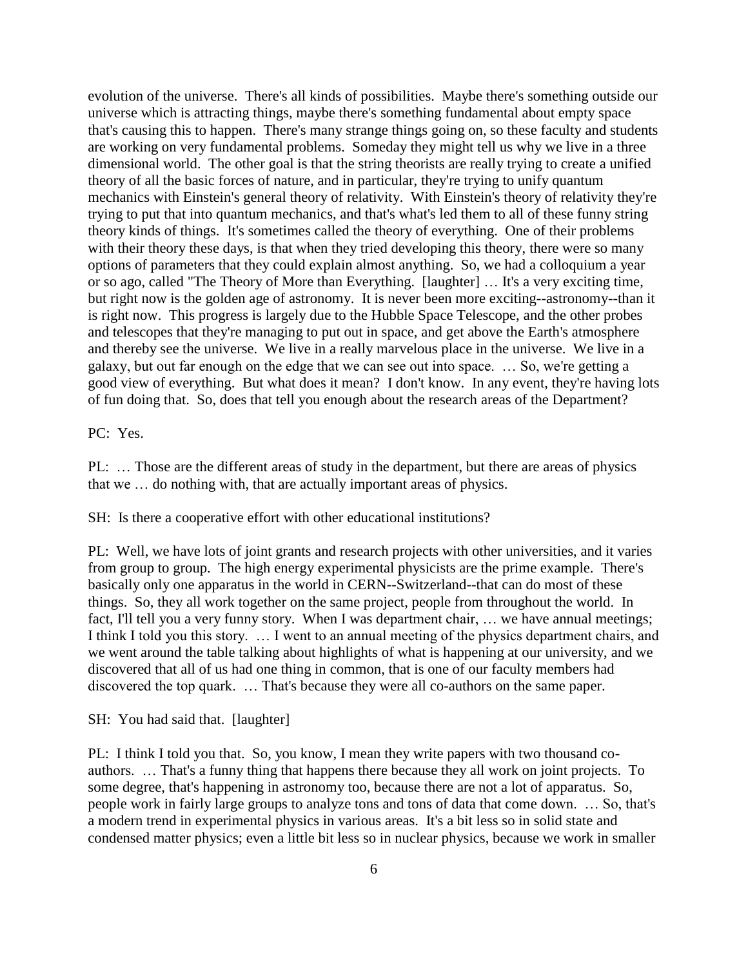evolution of the universe. There's all kinds of possibilities. Maybe there's something outside our universe which is attracting things, maybe there's something fundamental about empty space that's causing this to happen. There's many strange things going on, so these faculty and students are working on very fundamental problems. Someday they might tell us why we live in a three dimensional world. The other goal is that the string theorists are really trying to create a unified theory of all the basic forces of nature, and in particular, they're trying to unify quantum mechanics with Einstein's general theory of relativity. With Einstein's theory of relativity they're trying to put that into quantum mechanics, and that's what's led them to all of these funny string theory kinds of things. It's sometimes called the theory of everything. One of their problems with their theory these days, is that when they tried developing this theory, there were so many options of parameters that they could explain almost anything. So, we had a colloquium a year or so ago, called "The Theory of More than Everything. [laughter] … It's a very exciting time, but right now is the golden age of astronomy. It is never been more exciting--astronomy--than it is right now. This progress is largely due to the Hubble Space Telescope, and the other probes and telescopes that they're managing to put out in space, and get above the Earth's atmosphere and thereby see the universe. We live in a really marvelous place in the universe. We live in a galaxy, but out far enough on the edge that we can see out into space. … So, we're getting a good view of everything. But what does it mean? I don't know. In any event, they're having lots of fun doing that. So, does that tell you enough about the research areas of the Department?

PC: Yes.

PL: … Those are the different areas of study in the department, but there are areas of physics that we … do nothing with, that are actually important areas of physics.

SH: Is there a cooperative effort with other educational institutions?

PL: Well, we have lots of joint grants and research projects with other universities, and it varies from group to group. The high energy experimental physicists are the prime example. There's basically only one apparatus in the world in CERN--Switzerland--that can do most of these things. So, they all work together on the same project, people from throughout the world. In fact, I'll tell you a very funny story. When I was department chair, ... we have annual meetings; I think I told you this story. … I went to an annual meeting of the physics department chairs, and we went around the table talking about highlights of what is happening at our university, and we discovered that all of us had one thing in common, that is one of our faculty members had discovered the top quark. … That's because they were all co-authors on the same paper.

SH: You had said that. [laughter]

PL: I think I told you that. So, you know, I mean they write papers with two thousand coauthors. … That's a funny thing that happens there because they all work on joint projects. To some degree, that's happening in astronomy too, because there are not a lot of apparatus. So, people work in fairly large groups to analyze tons and tons of data that come down. … So, that's a modern trend in experimental physics in various areas. It's a bit less so in solid state and condensed matter physics; even a little bit less so in nuclear physics, because we work in smaller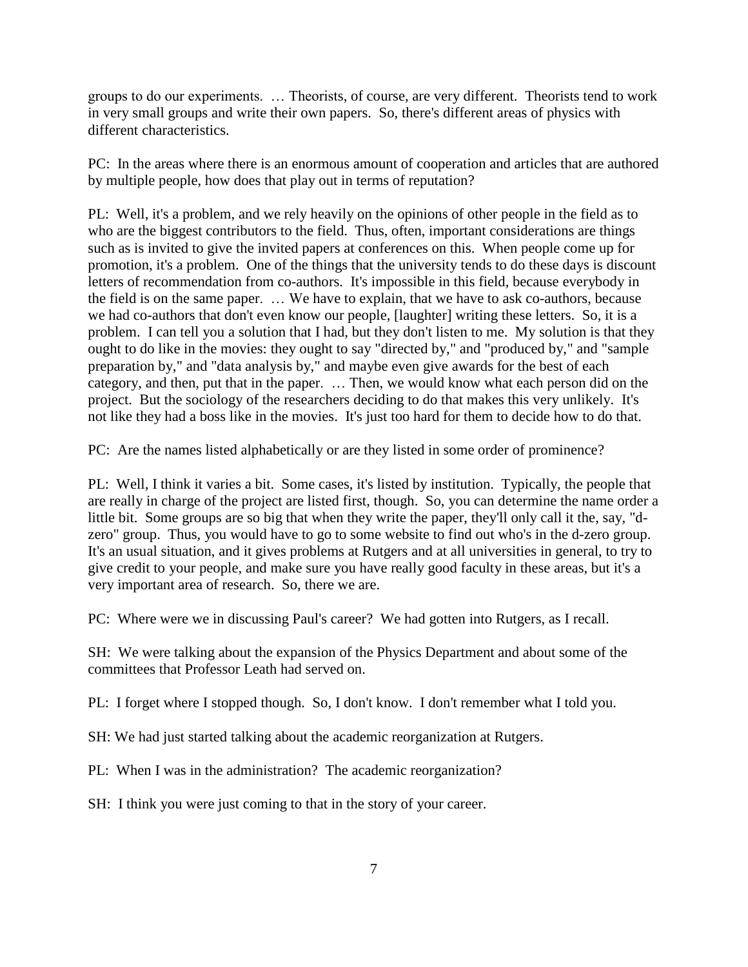groups to do our experiments. … Theorists, of course, are very different. Theorists tend to work in very small groups and write their own papers. So, there's different areas of physics with different characteristics.

PC: In the areas where there is an enormous amount of cooperation and articles that are authored by multiple people, how does that play out in terms of reputation?

PL: Well, it's a problem, and we rely heavily on the opinions of other people in the field as to who are the biggest contributors to the field. Thus, often, important considerations are things such as is invited to give the invited papers at conferences on this. When people come up for promotion, it's a problem. One of the things that the university tends to do these days is discount letters of recommendation from co-authors. It's impossible in this field, because everybody in the field is on the same paper. … We have to explain, that we have to ask co-authors, because we had co-authors that don't even know our people, [laughter] writing these letters. So, it is a problem. I can tell you a solution that I had, but they don't listen to me. My solution is that they ought to do like in the movies: they ought to say "directed by," and "produced by," and "sample" preparation by," and "data analysis by," and maybe even give awards for the best of each category, and then, put that in the paper. … Then, we would know what each person did on the project. But the sociology of the researchers deciding to do that makes this very unlikely. It's not like they had a boss like in the movies. It's just too hard for them to decide how to do that.

PC: Are the names listed alphabetically or are they listed in some order of prominence?

PL: Well, I think it varies a bit. Some cases, it's listed by institution. Typically, the people that are really in charge of the project are listed first, though. So, you can determine the name order a little bit. Some groups are so big that when they write the paper, they'll only call it the, say, "dzero" group. Thus, you would have to go to some website to find out who's in the d-zero group. It's an usual situation, and it gives problems at Rutgers and at all universities in general, to try to give credit to your people, and make sure you have really good faculty in these areas, but it's a very important area of research. So, there we are.

PC: Where were we in discussing Paul's career? We had gotten into Rutgers, as I recall.

SH: We were talking about the expansion of the Physics Department and about some of the committees that Professor Leath had served on.

PL: I forget where I stopped though. So, I don't know. I don't remember what I told you.

SH: We had just started talking about the academic reorganization at Rutgers.

PL: When I was in the administration? The academic reorganization?

SH: I think you were just coming to that in the story of your career.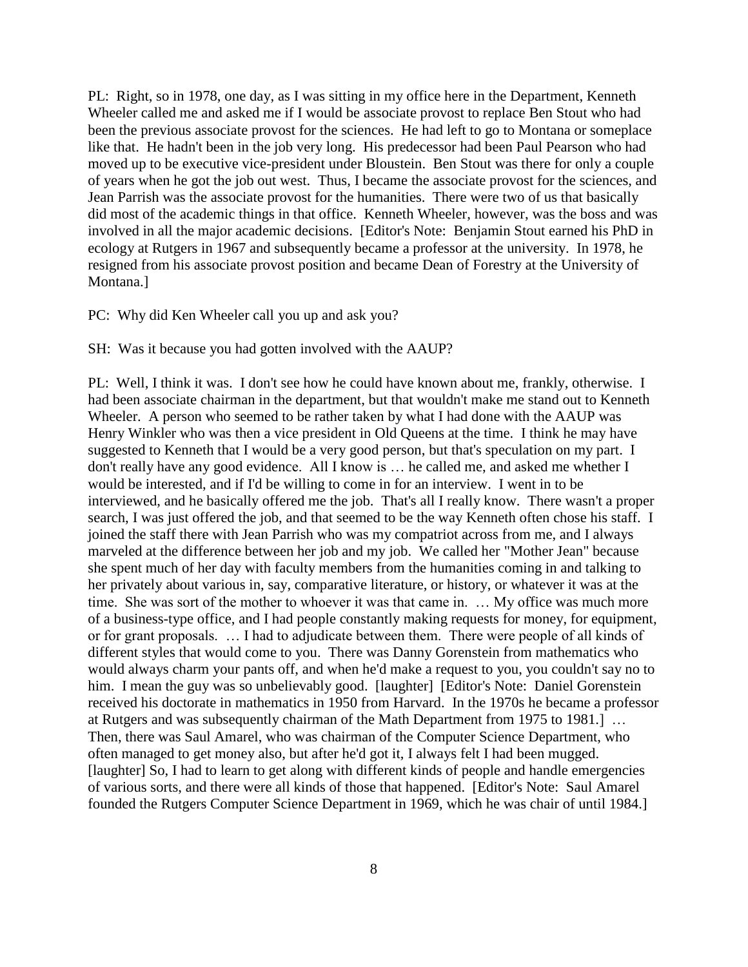PL: Right, so in 1978, one day, as I was sitting in my office here in the Department, Kenneth Wheeler called me and asked me if I would be associate provost to replace Ben Stout who had been the previous associate provost for the sciences. He had left to go to Montana or someplace like that. He hadn't been in the job very long. His predecessor had been Paul Pearson who had moved up to be executive vice-president under Bloustein. Ben Stout was there for only a couple of years when he got the job out west. Thus, I became the associate provost for the sciences, and Jean Parrish was the associate provost for the humanities. There were two of us that basically did most of the academic things in that office. Kenneth Wheeler, however, was the boss and was involved in all the major academic decisions. [Editor's Note: Benjamin Stout earned his PhD in ecology at Rutgers in 1967 and subsequently became a professor at the university. In 1978, he resigned from his associate provost position and became Dean of Forestry at the University of Montana.]

### PC: Why did Ken Wheeler call you up and ask you?

### SH: Was it because you had gotten involved with the AAUP?

PL: Well, I think it was. I don't see how he could have known about me, frankly, otherwise. I had been associate chairman in the department, but that wouldn't make me stand out to Kenneth Wheeler. A person who seemed to be rather taken by what I had done with the AAUP was Henry Winkler who was then a vice president in Old Queens at the time. I think he may have suggested to Kenneth that I would be a very good person, but that's speculation on my part. I don't really have any good evidence. All I know is … he called me, and asked me whether I would be interested, and if I'd be willing to come in for an interview. I went in to be interviewed, and he basically offered me the job. That's all I really know. There wasn't a proper search, I was just offered the job, and that seemed to be the way Kenneth often chose his staff. I joined the staff there with Jean Parrish who was my compatriot across from me, and I always marveled at the difference between her job and my job. We called her "Mother Jean" because she spent much of her day with faculty members from the humanities coming in and talking to her privately about various in, say, comparative literature, or history, or whatever it was at the time. She was sort of the mother to whoever it was that came in. … My office was much more of a business-type office, and I had people constantly making requests for money, for equipment, or for grant proposals. … I had to adjudicate between them. There were people of all kinds of different styles that would come to you. There was Danny Gorenstein from mathematics who would always charm your pants off, and when he'd make a request to you, you couldn't say no to him. I mean the guy was so unbelievably good. [laughter] [Editor's Note: Daniel Gorenstein received his doctorate in mathematics in 1950 from Harvard. In the 1970s he became a professor at Rutgers and was subsequently chairman of the Math Department from 1975 to 1981.] … Then, there was Saul Amarel, who was chairman of the Computer Science Department, who often managed to get money also, but after he'd got it, I always felt I had been mugged. [laughter] So, I had to learn to get along with different kinds of people and handle emergencies of various sorts, and there were all kinds of those that happened. [Editor's Note: Saul Amarel founded the Rutgers Computer Science Department in 1969, which he was chair of until 1984.]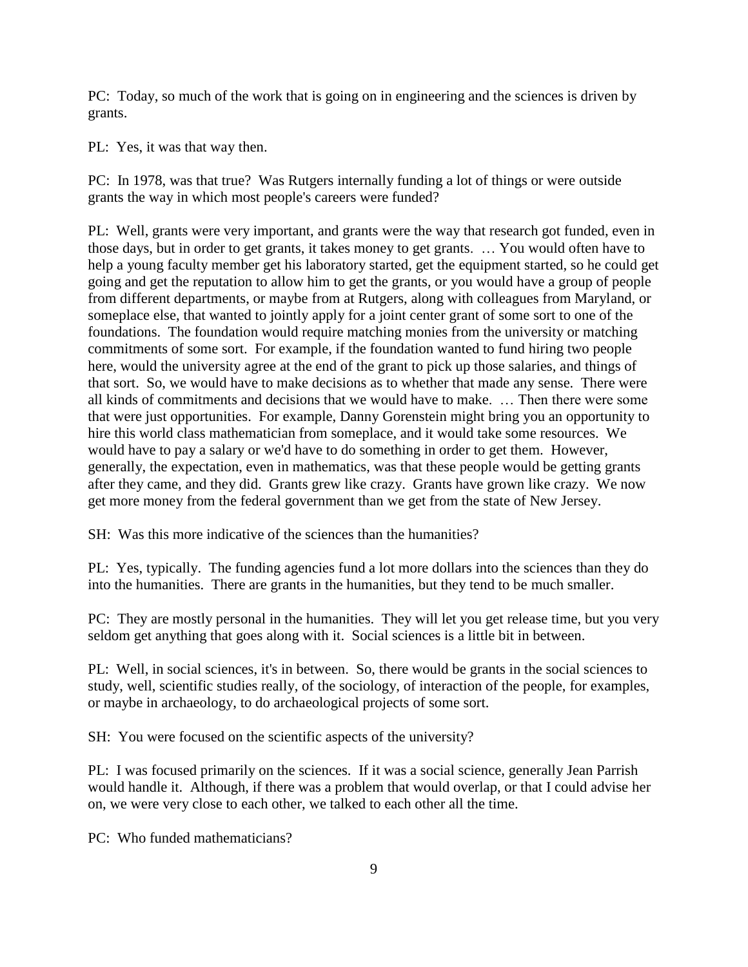PC: Today, so much of the work that is going on in engineering and the sciences is driven by grants.

PL: Yes, it was that way then.

PC: In 1978, was that true? Was Rutgers internally funding a lot of things or were outside grants the way in which most people's careers were funded?

PL: Well, grants were very important, and grants were the way that research got funded, even in those days, but in order to get grants, it takes money to get grants. … You would often have to help a young faculty member get his laboratory started, get the equipment started, so he could get going and get the reputation to allow him to get the grants, or you would have a group of people from different departments, or maybe from at Rutgers, along with colleagues from Maryland, or someplace else, that wanted to jointly apply for a joint center grant of some sort to one of the foundations. The foundation would require matching monies from the university or matching commitments of some sort. For example, if the foundation wanted to fund hiring two people here, would the university agree at the end of the grant to pick up those salaries, and things of that sort. So, we would have to make decisions as to whether that made any sense. There were all kinds of commitments and decisions that we would have to make. … Then there were some that were just opportunities. For example, Danny Gorenstein might bring you an opportunity to hire this world class mathematician from someplace, and it would take some resources. We would have to pay a salary or we'd have to do something in order to get them. However, generally, the expectation, even in mathematics, was that these people would be getting grants after they came, and they did. Grants grew like crazy. Grants have grown like crazy. We now get more money from the federal government than we get from the state of New Jersey.

SH: Was this more indicative of the sciences than the humanities?

PL: Yes, typically. The funding agencies fund a lot more dollars into the sciences than they do into the humanities. There are grants in the humanities, but they tend to be much smaller.

PC: They are mostly personal in the humanities. They will let you get release time, but you very seldom get anything that goes along with it. Social sciences is a little bit in between.

PL: Well, in social sciences, it's in between. So, there would be grants in the social sciences to study, well, scientific studies really, of the sociology, of interaction of the people, for examples, or maybe in archaeology, to do archaeological projects of some sort.

SH: You were focused on the scientific aspects of the university?

PL: I was focused primarily on the sciences. If it was a social science, generally Jean Parrish would handle it. Although, if there was a problem that would overlap, or that I could advise her on, we were very close to each other, we talked to each other all the time.

PC: Who funded mathematicians?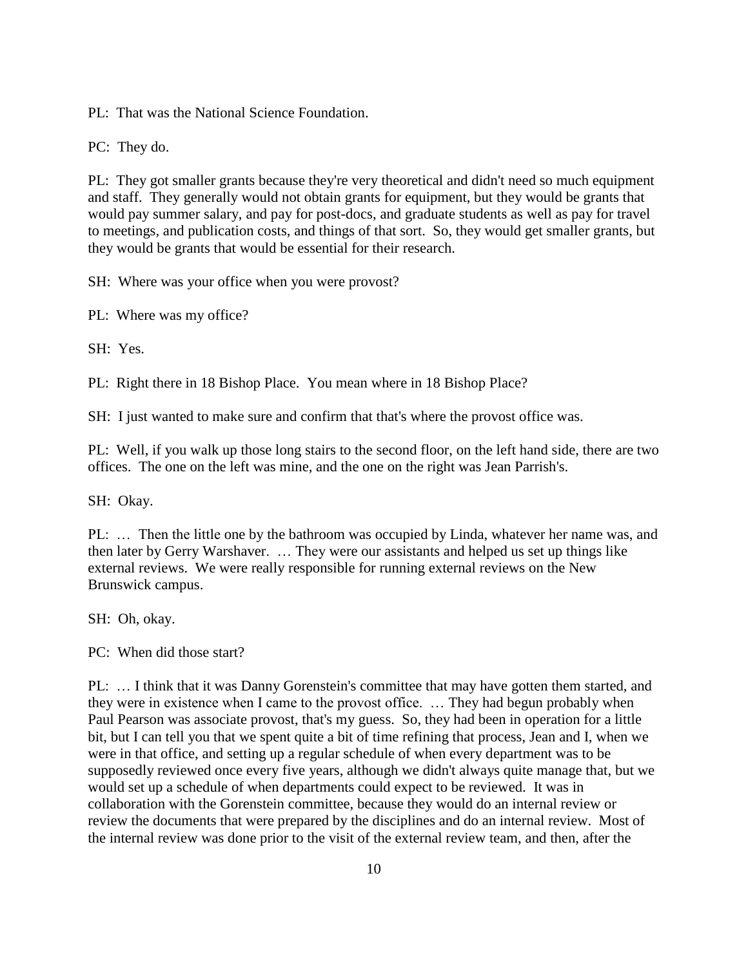PL: That was the National Science Foundation.

PC: They do.

PL: They got smaller grants because they're very theoretical and didn't need so much equipment and staff. They generally would not obtain grants for equipment, but they would be grants that would pay summer salary, and pay for post-docs, and graduate students as well as pay for travel to meetings, and publication costs, and things of that sort. So, they would get smaller grants, but they would be grants that would be essential for their research.

SH: Where was your office when you were provost?

PL: Where was my office?

SH: Yes.

PL: Right there in 18 Bishop Place. You mean where in 18 Bishop Place?

SH: I just wanted to make sure and confirm that that's where the provost office was.

PL: Well, if you walk up those long stairs to the second floor, on the left hand side, there are two offices. The one on the left was mine, and the one on the right was Jean Parrish's.

SH: Okay.

PL: … Then the little one by the bathroom was occupied by Linda, whatever her name was, and then later by Gerry Warshaver. … They were our assistants and helped us set up things like external reviews. We were really responsible for running external reviews on the New Brunswick campus.

SH: Oh, okay.

PC: When did those start?

PL: … I think that it was Danny Gorenstein's committee that may have gotten them started, and they were in existence when I came to the provost office. … They had begun probably when Paul Pearson was associate provost, that's my guess. So, they had been in operation for a little bit, but I can tell you that we spent quite a bit of time refining that process, Jean and I, when we were in that office, and setting up a regular schedule of when every department was to be supposedly reviewed once every five years, although we didn't always quite manage that, but we would set up a schedule of when departments could expect to be reviewed. It was in collaboration with the Gorenstein committee, because they would do an internal review or review the documents that were prepared by the disciplines and do an internal review. Most of the internal review was done prior to the visit of the external review team, and then, after the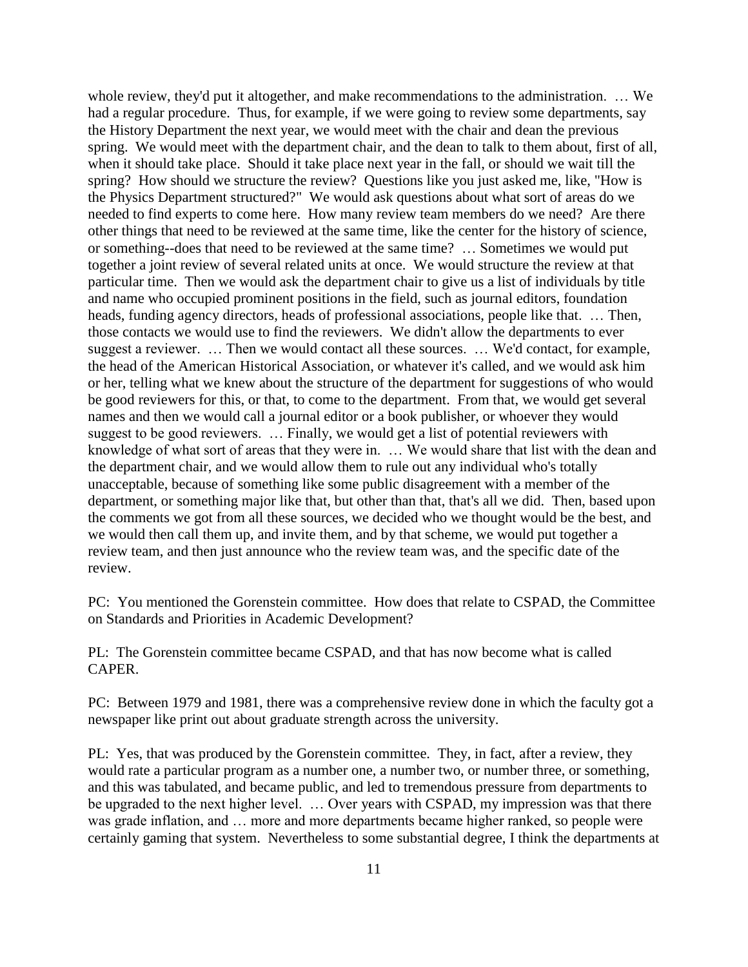whole review, they'd put it altogether, and make recommendations to the administration. … We had a regular procedure. Thus, for example, if we were going to review some departments, say the History Department the next year, we would meet with the chair and dean the previous spring. We would meet with the department chair, and the dean to talk to them about, first of all, when it should take place. Should it take place next year in the fall, or should we wait till the spring? How should we structure the review? Questions like you just asked me, like, "How is the Physics Department structured?" We would ask questions about what sort of areas do we needed to find experts to come here. How many review team members do we need? Are there other things that need to be reviewed at the same time, like the center for the history of science, or something--does that need to be reviewed at the same time? … Sometimes we would put together a joint review of several related units at once. We would structure the review at that particular time. Then we would ask the department chair to give us a list of individuals by title and name who occupied prominent positions in the field, such as journal editors, foundation heads, funding agency directors, heads of professional associations, people like that. … Then, those contacts we would use to find the reviewers. We didn't allow the departments to ever suggest a reviewer. … Then we would contact all these sources. … We'd contact, for example, the head of the American Historical Association, or whatever it's called, and we would ask him or her, telling what we knew about the structure of the department for suggestions of who would be good reviewers for this, or that, to come to the department. From that, we would get several names and then we would call a journal editor or a book publisher, or whoever they would suggest to be good reviewers. … Finally, we would get a list of potential reviewers with knowledge of what sort of areas that they were in. … We would share that list with the dean and the department chair, and we would allow them to rule out any individual who's totally unacceptable, because of something like some public disagreement with a member of the department, or something major like that, but other than that, that's all we did. Then, based upon the comments we got from all these sources, we decided who we thought would be the best, and we would then call them up, and invite them, and by that scheme, we would put together a review team, and then just announce who the review team was, and the specific date of the review.

PC: You mentioned the Gorenstein committee. How does that relate to CSPAD, the Committee on Standards and Priorities in Academic Development?

PL: The Gorenstein committee became CSPAD, and that has now become what is called CAPER.

PC: Between 1979 and 1981, there was a comprehensive review done in which the faculty got a newspaper like print out about graduate strength across the university.

PL: Yes, that was produced by the Gorenstein committee. They, in fact, after a review, they would rate a particular program as a number one, a number two, or number three, or something, and this was tabulated, and became public, and led to tremendous pressure from departments to be upgraded to the next higher level. … Over years with CSPAD, my impression was that there was grade inflation, and … more and more departments became higher ranked, so people were certainly gaming that system. Nevertheless to some substantial degree, I think the departments at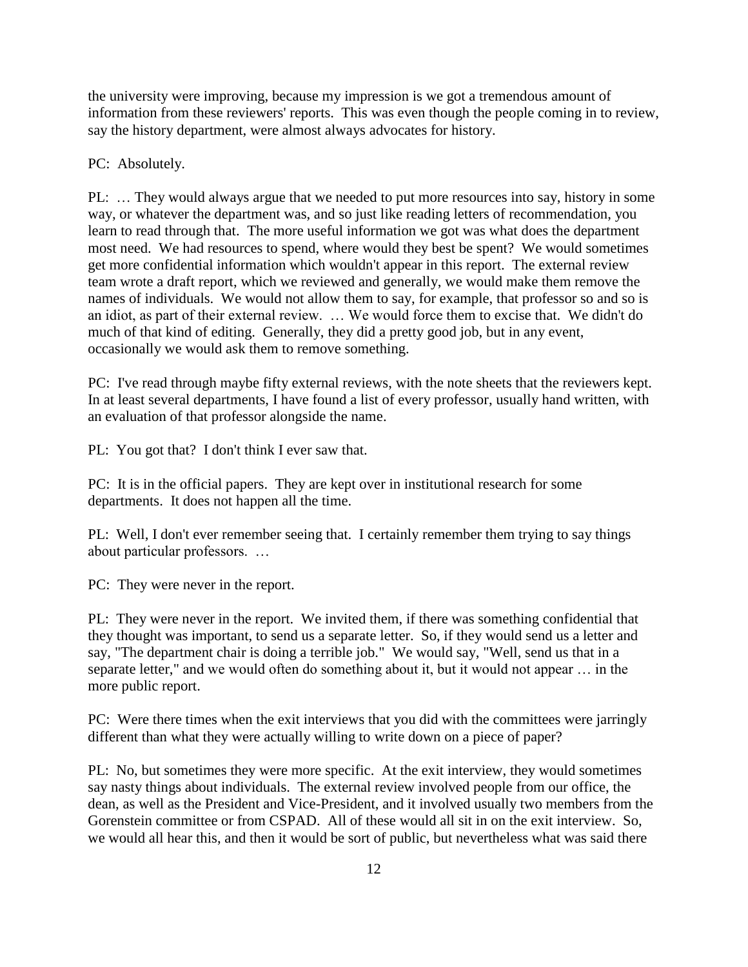the university were improving, because my impression is we got a tremendous amount of information from these reviewers' reports. This was even though the people coming in to review, say the history department, were almost always advocates for history.

### PC: Absolutely.

PL: … They would always argue that we needed to put more resources into say, history in some way, or whatever the department was, and so just like reading letters of recommendation, you learn to read through that. The more useful information we got was what does the department most need. We had resources to spend, where would they best be spent? We would sometimes get more confidential information which wouldn't appear in this report. The external review team wrote a draft report, which we reviewed and generally, we would make them remove the names of individuals. We would not allow them to say, for example, that professor so and so is an idiot, as part of their external review. … We would force them to excise that. We didn't do much of that kind of editing. Generally, they did a pretty good job, but in any event, occasionally we would ask them to remove something.

PC: I've read through maybe fifty external reviews, with the note sheets that the reviewers kept. In at least several departments, I have found a list of every professor, usually hand written, with an evaluation of that professor alongside the name.

PL: You got that? I don't think I ever saw that.

PC: It is in the official papers. They are kept over in institutional research for some departments. It does not happen all the time.

PL: Well, I don't ever remember seeing that. I certainly remember them trying to say things about particular professors. …

PC: They were never in the report.

PL: They were never in the report. We invited them, if there was something confidential that they thought was important, to send us a separate letter. So, if they would send us a letter and say, "The department chair is doing a terrible job." We would say, "Well, send us that in a separate letter," and we would often do something about it, but it would not appear … in the more public report.

PC: Were there times when the exit interviews that you did with the committees were jarringly different than what they were actually willing to write down on a piece of paper?

PL: No, but sometimes they were more specific. At the exit interview, they would sometimes say nasty things about individuals. The external review involved people from our office, the dean, as well as the President and Vice-President, and it involved usually two members from the Gorenstein committee or from CSPAD. All of these would all sit in on the exit interview. So, we would all hear this, and then it would be sort of public, but nevertheless what was said there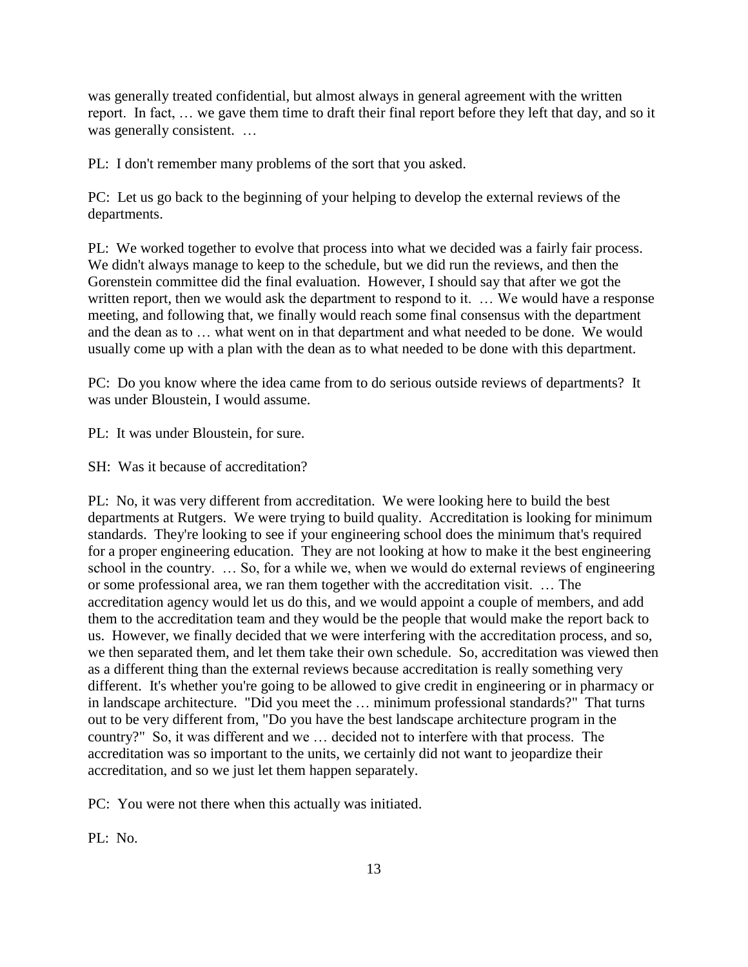was generally treated confidential, but almost always in general agreement with the written report. In fact, … we gave them time to draft their final report before they left that day, and so it was generally consistent. …

PL: I don't remember many problems of the sort that you asked.

PC: Let us go back to the beginning of your helping to develop the external reviews of the departments.

PL: We worked together to evolve that process into what we decided was a fairly fair process. We didn't always manage to keep to the schedule, but we did run the reviews, and then the Gorenstein committee did the final evaluation. However, I should say that after we got the written report, then we would ask the department to respond to it. ... We would have a response meeting, and following that, we finally would reach some final consensus with the department and the dean as to … what went on in that department and what needed to be done. We would usually come up with a plan with the dean as to what needed to be done with this department.

PC: Do you know where the idea came from to do serious outside reviews of departments? It was under Bloustein, I would assume.

PL: It was under Bloustein, for sure.

SH: Was it because of accreditation?

PL: No, it was very different from accreditation. We were looking here to build the best departments at Rutgers. We were trying to build quality. Accreditation is looking for minimum standards. They're looking to see if your engineering school does the minimum that's required for a proper engineering education. They are not looking at how to make it the best engineering school in the country. … So, for a while we, when we would do external reviews of engineering or some professional area, we ran them together with the accreditation visit. … The accreditation agency would let us do this, and we would appoint a couple of members, and add them to the accreditation team and they would be the people that would make the report back to us. However, we finally decided that we were interfering with the accreditation process, and so, we then separated them, and let them take their own schedule. So, accreditation was viewed then as a different thing than the external reviews because accreditation is really something very different. It's whether you're going to be allowed to give credit in engineering or in pharmacy or in landscape architecture. "Did you meet the … minimum professional standards?" That turns out to be very different from, "Do you have the best landscape architecture program in the country?" So, it was different and we … decided not to interfere with that process. The accreditation was so important to the units, we certainly did not want to jeopardize their accreditation, and so we just let them happen separately.

PC: You were not there when this actually was initiated.

PL: No.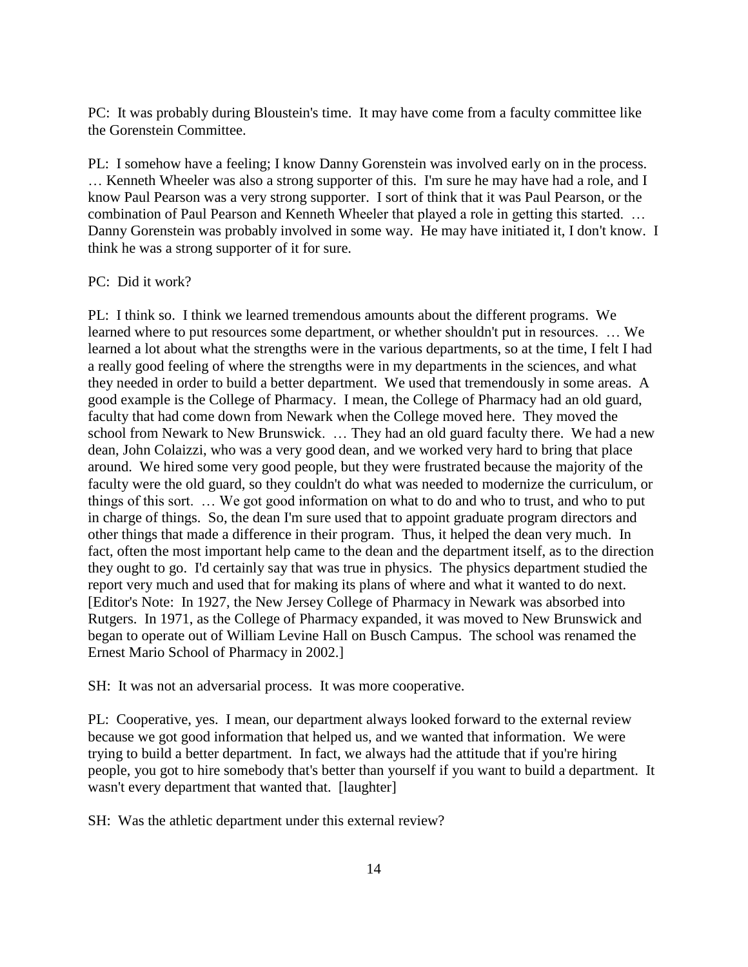PC: It was probably during Bloustein's time. It may have come from a faculty committee like the Gorenstein Committee.

PL: I somehow have a feeling; I know Danny Gorenstein was involved early on in the process. … Kenneth Wheeler was also a strong supporter of this. I'm sure he may have had a role, and I know Paul Pearson was a very strong supporter. I sort of think that it was Paul Pearson, or the combination of Paul Pearson and Kenneth Wheeler that played a role in getting this started. … Danny Gorenstein was probably involved in some way. He may have initiated it, I don't know. I think he was a strong supporter of it for sure.

### PC: Did it work?

PL: I think so. I think we learned tremendous amounts about the different programs. We learned where to put resources some department, or whether shouldn't put in resources. … We learned a lot about what the strengths were in the various departments, so at the time, I felt I had a really good feeling of where the strengths were in my departments in the sciences, and what they needed in order to build a better department. We used that tremendously in some areas. A good example is the College of Pharmacy. I mean, the College of Pharmacy had an old guard, faculty that had come down from Newark when the College moved here. They moved the school from Newark to New Brunswick. … They had an old guard faculty there. We had a new dean, John Colaizzi, who was a very good dean, and we worked very hard to bring that place around. We hired some very good people, but they were frustrated because the majority of the faculty were the old guard, so they couldn't do what was needed to modernize the curriculum, or things of this sort. … We got good information on what to do and who to trust, and who to put in charge of things. So, the dean I'm sure used that to appoint graduate program directors and other things that made a difference in their program. Thus, it helped the dean very much. In fact, often the most important help came to the dean and the department itself, as to the direction they ought to go. I'd certainly say that was true in physics. The physics department studied the report very much and used that for making its plans of where and what it wanted to do next. [Editor's Note: In 1927, the New Jersey College of Pharmacy in Newark was absorbed into Rutgers. In 1971, as the College of Pharmacy expanded, it was moved to New Brunswick and began to operate out of William Levine Hall on Busch Campus. The school was renamed the Ernest Mario School of Pharmacy in 2002.]

SH: It was not an adversarial process. It was more cooperative.

PL: Cooperative, yes. I mean, our department always looked forward to the external review because we got good information that helped us, and we wanted that information. We were trying to build a better department. In fact, we always had the attitude that if you're hiring people, you got to hire somebody that's better than yourself if you want to build a department. It wasn't every department that wanted that. [laughter]

SH: Was the athletic department under this external review?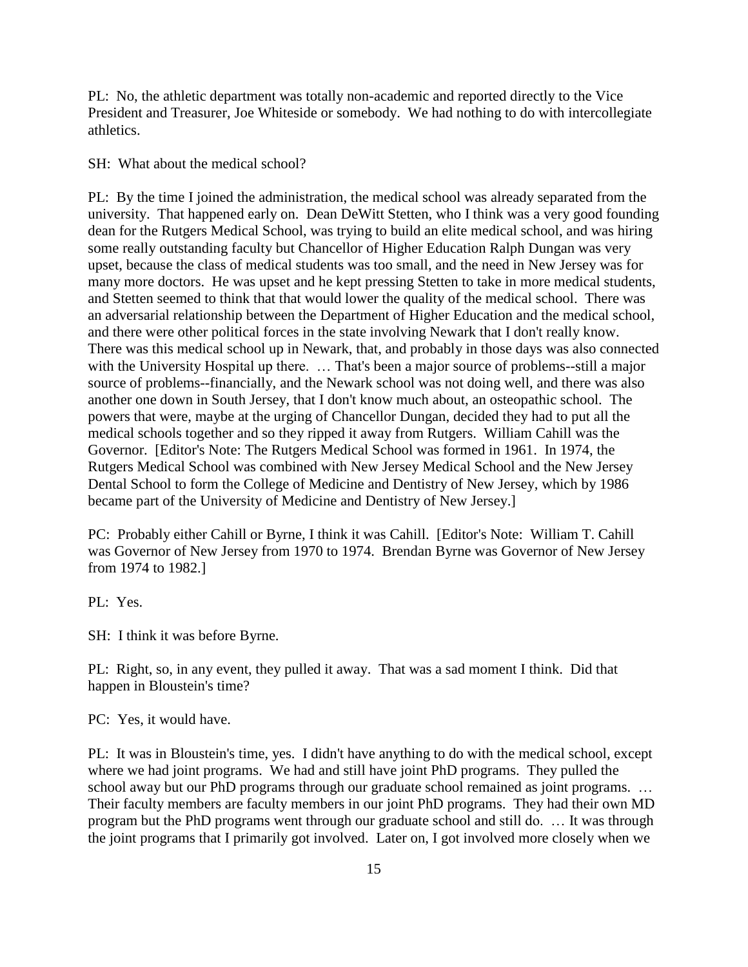PL: No, the athletic department was totally non-academic and reported directly to the Vice President and Treasurer, Joe Whiteside or somebody. We had nothing to do with intercollegiate athletics.

SH: What about the medical school?

PL: By the time I joined the administration, the medical school was already separated from the university. That happened early on. Dean DeWitt Stetten, who I think was a very good founding dean for the Rutgers Medical School, was trying to build an elite medical school, and was hiring some really outstanding faculty but Chancellor of Higher Education Ralph Dungan was very upset, because the class of medical students was too small, and the need in New Jersey was for many more doctors. He was upset and he kept pressing Stetten to take in more medical students, and Stetten seemed to think that that would lower the quality of the medical school. There was an adversarial relationship between the Department of Higher Education and the medical school, and there were other political forces in the state involving Newark that I don't really know. There was this medical school up in Newark, that, and probably in those days was also connected with the University Hospital up there. ... That's been a major source of problems--still a major source of problems--financially, and the Newark school was not doing well, and there was also another one down in South Jersey, that I don't know much about, an osteopathic school. The powers that were, maybe at the urging of Chancellor Dungan, decided they had to put all the medical schools together and so they ripped it away from Rutgers. William Cahill was the Governor. [Editor's Note: The Rutgers Medical School was formed in 1961. In 1974, the Rutgers Medical School was combined with New Jersey Medical School and the New Jersey Dental School to form the College of Medicine and Dentistry of New Jersey, which by 1986 became part of the University of Medicine and Dentistry of New Jersey.]

PC: Probably either Cahill or Byrne, I think it was Cahill. [Editor's Note: William T. Cahill was Governor of New Jersey from 1970 to 1974. Brendan Byrne was Governor of New Jersey from 1974 to 1982.]

PL: Yes.

SH: I think it was before Byrne.

PL: Right, so, in any event, they pulled it away. That was a sad moment I think. Did that happen in Bloustein's time?

PC: Yes, it would have.

PL: It was in Bloustein's time, yes. I didn't have anything to do with the medical school, except where we had joint programs. We had and still have joint PhD programs. They pulled the school away but our PhD programs through our graduate school remained as joint programs. ... Their faculty members are faculty members in our joint PhD programs. They had their own MD program but the PhD programs went through our graduate school and still do. … It was through the joint programs that I primarily got involved. Later on, I got involved more closely when we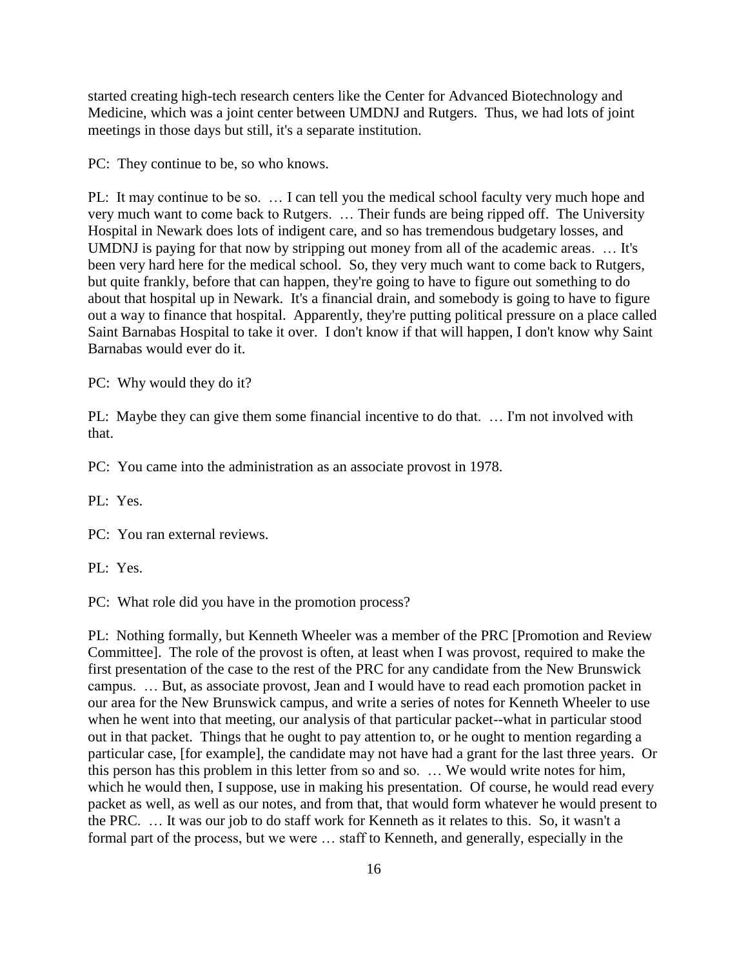started creating high-tech research centers like the Center for Advanced Biotechnology and Medicine, which was a joint center between UMDNJ and Rutgers. Thus, we had lots of joint meetings in those days but still, it's a separate institution.

PC: They continue to be, so who knows.

PL: It may continue to be so. … I can tell you the medical school faculty very much hope and very much want to come back to Rutgers. … Their funds are being ripped off. The University Hospital in Newark does lots of indigent care, and so has tremendous budgetary losses, and UMDNJ is paying for that now by stripping out money from all of the academic areas. … It's been very hard here for the medical school. So, they very much want to come back to Rutgers, but quite frankly, before that can happen, they're going to have to figure out something to do about that hospital up in Newark. It's a financial drain, and somebody is going to have to figure out a way to finance that hospital. Apparently, they're putting political pressure on a place called Saint Barnabas Hospital to take it over. I don't know if that will happen, I don't know why Saint Barnabas would ever do it.

PC: Why would they do it?

PL: Maybe they can give them some financial incentive to do that. ... I'm not involved with that.

PC: You came into the administration as an associate provost in 1978.

PL: Yes.

PC: You ran external reviews.

PL: Yes.

PC: What role did you have in the promotion process?

PL: Nothing formally, but Kenneth Wheeler was a member of the PRC [Promotion and Review Committee]. The role of the provost is often, at least when I was provost, required to make the first presentation of the case to the rest of the PRC for any candidate from the New Brunswick campus. … But, as associate provost, Jean and I would have to read each promotion packet in our area for the New Brunswick campus, and write a series of notes for Kenneth Wheeler to use when he went into that meeting, our analysis of that particular packet--what in particular stood out in that packet. Things that he ought to pay attention to, or he ought to mention regarding a particular case, [for example], the candidate may not have had a grant for the last three years. Or this person has this problem in this letter from so and so. … We would write notes for him, which he would then, I suppose, use in making his presentation. Of course, he would read every packet as well, as well as our notes, and from that, that would form whatever he would present to the PRC. … It was our job to do staff work for Kenneth as it relates to this. So, it wasn't a formal part of the process, but we were … staff to Kenneth, and generally, especially in the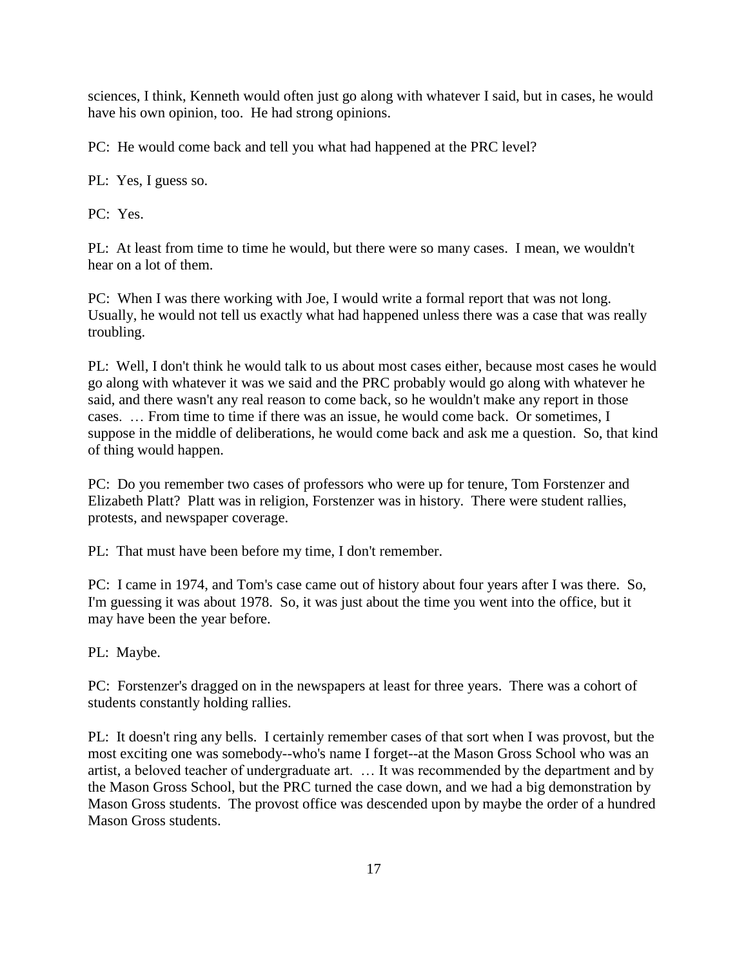sciences, I think, Kenneth would often just go along with whatever I said, but in cases, he would have his own opinion, too. He had strong opinions.

PC: He would come back and tell you what had happened at the PRC level?

PL: Yes, I guess so.

PC: Yes.

PL: At least from time to time he would, but there were so many cases. I mean, we wouldn't hear on a lot of them.

PC: When I was there working with Joe, I would write a formal report that was not long. Usually, he would not tell us exactly what had happened unless there was a case that was really troubling.

PL: Well, I don't think he would talk to us about most cases either, because most cases he would go along with whatever it was we said and the PRC probably would go along with whatever he said, and there wasn't any real reason to come back, so he wouldn't make any report in those cases. … From time to time if there was an issue, he would come back. Or sometimes, I suppose in the middle of deliberations, he would come back and ask me a question. So, that kind of thing would happen.

PC: Do you remember two cases of professors who were up for tenure, Tom Forstenzer and Elizabeth Platt? Platt was in religion, Forstenzer was in history. There were student rallies, protests, and newspaper coverage.

PL: That must have been before my time, I don't remember.

PC: I came in 1974, and Tom's case came out of history about four years after I was there. So, I'm guessing it was about 1978. So, it was just about the time you went into the office, but it may have been the year before.

PL: Maybe.

PC: Forstenzer's dragged on in the newspapers at least for three years. There was a cohort of students constantly holding rallies.

PL: It doesn't ring any bells. I certainly remember cases of that sort when I was provost, but the most exciting one was somebody--who's name I forget--at the Mason Gross School who was an artist, a beloved teacher of undergraduate art. … It was recommended by the department and by the Mason Gross School, but the PRC turned the case down, and we had a big demonstration by Mason Gross students. The provost office was descended upon by maybe the order of a hundred Mason Gross students.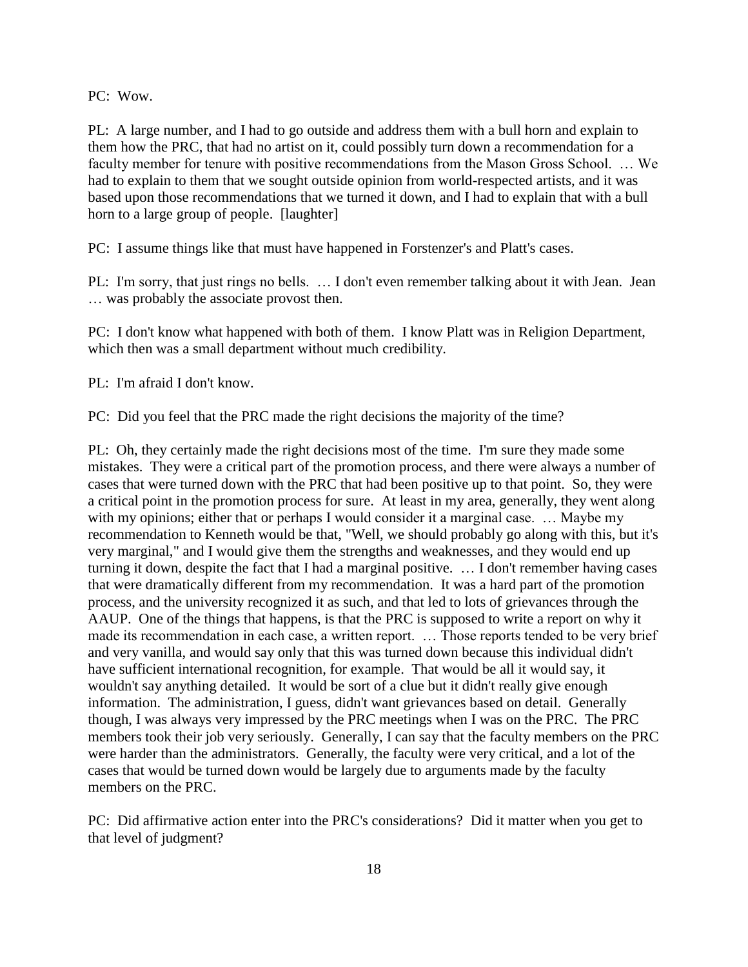PC: Wow.

PL: A large number, and I had to go outside and address them with a bull horn and explain to them how the PRC, that had no artist on it, could possibly turn down a recommendation for a faculty member for tenure with positive recommendations from the Mason Gross School. … We had to explain to them that we sought outside opinion from world-respected artists, and it was based upon those recommendations that we turned it down, and I had to explain that with a bull horn to a large group of people. [laughter]

PC: I assume things like that must have happened in Forstenzer's and Platt's cases.

PL: I'm sorry, that just rings no bells. ... I don't even remember talking about it with Jean. Jean … was probably the associate provost then.

PC: I don't know what happened with both of them. I know Platt was in Religion Department, which then was a small department without much credibility.

PL: I'm afraid I don't know.

PC: Did you feel that the PRC made the right decisions the majority of the time?

PL: Oh, they certainly made the right decisions most of the time. I'm sure they made some mistakes. They were a critical part of the promotion process, and there were always a number of cases that were turned down with the PRC that had been positive up to that point. So, they were a critical point in the promotion process for sure. At least in my area, generally, they went along with my opinions; either that or perhaps I would consider it a marginal case. ... Maybe my recommendation to Kenneth would be that, "Well, we should probably go along with this, but it's very marginal," and I would give them the strengths and weaknesses, and they would end up turning it down, despite the fact that I had a marginal positive. … I don't remember having cases that were dramatically different from my recommendation. It was a hard part of the promotion process, and the university recognized it as such, and that led to lots of grievances through the AAUP. One of the things that happens, is that the PRC is supposed to write a report on why it made its recommendation in each case, a written report. … Those reports tended to be very brief and very vanilla, and would say only that this was turned down because this individual didn't have sufficient international recognition, for example. That would be all it would say, it wouldn't say anything detailed. It would be sort of a clue but it didn't really give enough information. The administration, I guess, didn't want grievances based on detail. Generally though, I was always very impressed by the PRC meetings when I was on the PRC. The PRC members took their job very seriously. Generally, I can say that the faculty members on the PRC were harder than the administrators. Generally, the faculty were very critical, and a lot of the cases that would be turned down would be largely due to arguments made by the faculty members on the PRC.

PC: Did affirmative action enter into the PRC's considerations? Did it matter when you get to that level of judgment?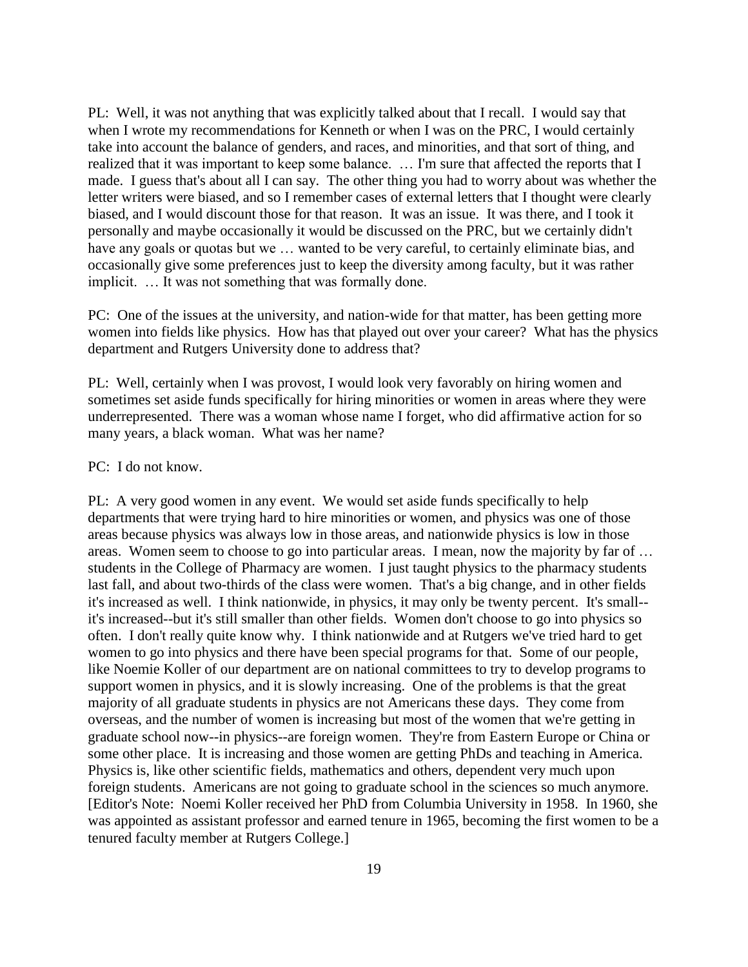PL: Well, it was not anything that was explicitly talked about that I recall. I would say that when I wrote my recommendations for Kenneth or when I was on the PRC, I would certainly take into account the balance of genders, and races, and minorities, and that sort of thing, and realized that it was important to keep some balance. … I'm sure that affected the reports that I made. I guess that's about all I can say. The other thing you had to worry about was whether the letter writers were biased, and so I remember cases of external letters that I thought were clearly biased, and I would discount those for that reason. It was an issue. It was there, and I took it personally and maybe occasionally it would be discussed on the PRC, but we certainly didn't have any goals or quotas but we ... wanted to be very careful, to certainly eliminate bias, and occasionally give some preferences just to keep the diversity among faculty, but it was rather implicit. … It was not something that was formally done.

PC: One of the issues at the university, and nation-wide for that matter, has been getting more women into fields like physics. How has that played out over your career? What has the physics department and Rutgers University done to address that?

PL: Well, certainly when I was provost, I would look very favorably on hiring women and sometimes set aside funds specifically for hiring minorities or women in areas where they were underrepresented. There was a woman whose name I forget, who did affirmative action for so many years, a black woman. What was her name?

### PC: I do not know.

PL: A very good women in any event. We would set aside funds specifically to help departments that were trying hard to hire minorities or women, and physics was one of those areas because physics was always low in those areas, and nationwide physics is low in those areas. Women seem to choose to go into particular areas. I mean, now the majority by far of … students in the College of Pharmacy are women. I just taught physics to the pharmacy students last fall, and about two-thirds of the class were women. That's a big change, and in other fields it's increased as well. I think nationwide, in physics, it may only be twenty percent. It's small- it's increased--but it's still smaller than other fields. Women don't choose to go into physics so often. I don't really quite know why. I think nationwide and at Rutgers we've tried hard to get women to go into physics and there have been special programs for that. Some of our people, like Noemie Koller of our department are on national committees to try to develop programs to support women in physics, and it is slowly increasing. One of the problems is that the great majority of all graduate students in physics are not Americans these days. They come from overseas, and the number of women is increasing but most of the women that we're getting in graduate school now--in physics--are foreign women. They're from Eastern Europe or China or some other place. It is increasing and those women are getting PhDs and teaching in America. Physics is, like other scientific fields, mathematics and others, dependent very much upon foreign students. Americans are not going to graduate school in the sciences so much anymore. [Editor's Note: Noemi Koller received her PhD from Columbia University in 1958. In 1960, she was appointed as assistant professor and earned tenure in 1965, becoming the first women to be a tenured faculty member at Rutgers College.]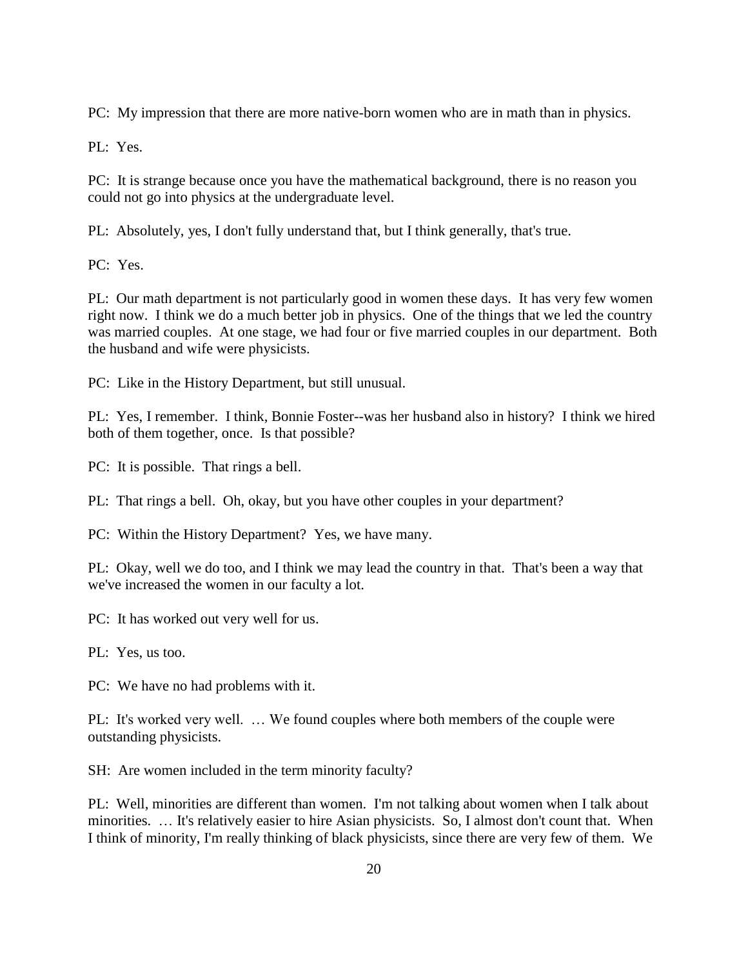PC: My impression that there are more native-born women who are in math than in physics.

PL: Yes.

PC: It is strange because once you have the mathematical background, there is no reason you could not go into physics at the undergraduate level.

PL: Absolutely, yes, I don't fully understand that, but I think generally, that's true.

PC: Yes.

PL: Our math department is not particularly good in women these days. It has very few women right now. I think we do a much better job in physics. One of the things that we led the country was married couples. At one stage, we had four or five married couples in our department. Both the husband and wife were physicists.

PC: Like in the History Department, but still unusual.

PL: Yes, I remember. I think, Bonnie Foster--was her husband also in history? I think we hired both of them together, once. Is that possible?

PC: It is possible. That rings a bell.

PL: That rings a bell. Oh, okay, but you have other couples in your department?

PC: Within the History Department? Yes, we have many.

PL: Okay, well we do too, and I think we may lead the country in that. That's been a way that we've increased the women in our faculty a lot.

PC: It has worked out very well for us.

PL: Yes, us too.

PC: We have no had problems with it.

PL: It's worked very well. … We found couples where both members of the couple were outstanding physicists.

SH: Are women included in the term minority faculty?

PL: Well, minorities are different than women. I'm not talking about women when I talk about minorities. … It's relatively easier to hire Asian physicists. So, I almost don't count that. When I think of minority, I'm really thinking of black physicists, since there are very few of them. We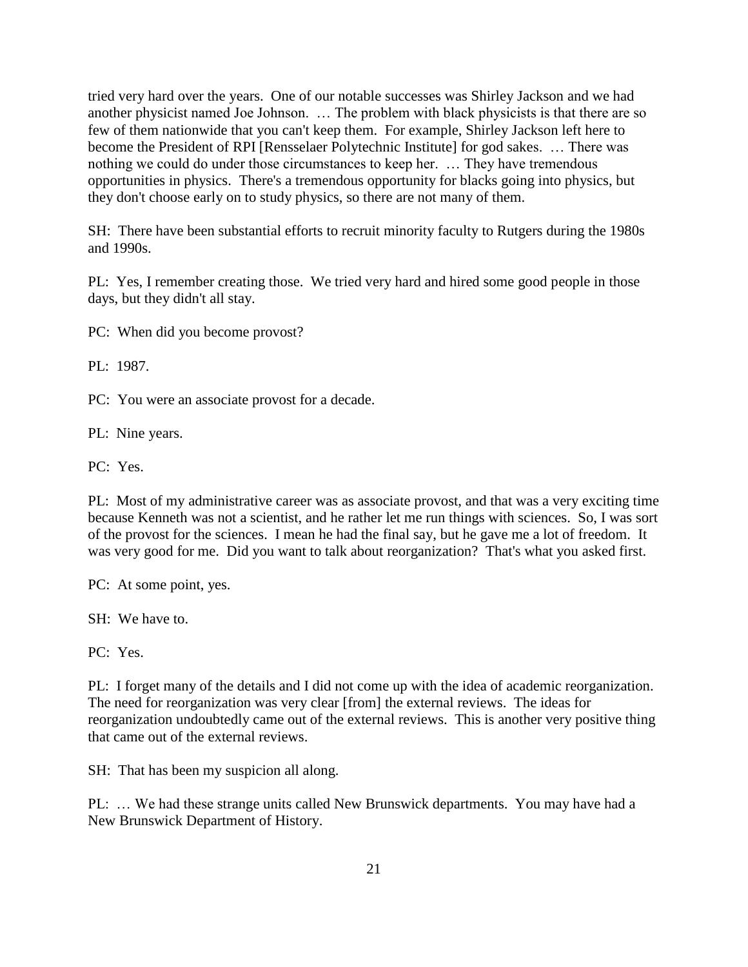tried very hard over the years. One of our notable successes was Shirley Jackson and we had another physicist named Joe Johnson. … The problem with black physicists is that there are so few of them nationwide that you can't keep them. For example, Shirley Jackson left here to become the President of RPI [Rensselaer Polytechnic Institute] for god sakes. … There was nothing we could do under those circumstances to keep her. … They have tremendous opportunities in physics. There's a tremendous opportunity for blacks going into physics, but they don't choose early on to study physics, so there are not many of them.

SH: There have been substantial efforts to recruit minority faculty to Rutgers during the 1980s and 1990s.

PL: Yes, I remember creating those. We tried very hard and hired some good people in those days, but they didn't all stay.

PC: When did you become provost?

PL: 1987.

PC: You were an associate provost for a decade.

PL: Nine years.

PC: Yes.

PL: Most of my administrative career was as associate provost, and that was a very exciting time because Kenneth was not a scientist, and he rather let me run things with sciences. So, I was sort of the provost for the sciences. I mean he had the final say, but he gave me a lot of freedom. It was very good for me. Did you want to talk about reorganization? That's what you asked first.

PC: At some point, yes.

SH: We have to.

PC: Yes.

PL: I forget many of the details and I did not come up with the idea of academic reorganization. The need for reorganization was very clear [from] the external reviews. The ideas for reorganization undoubtedly came out of the external reviews. This is another very positive thing that came out of the external reviews.

SH: That has been my suspicion all along.

PL: … We had these strange units called New Brunswick departments. You may have had a New Brunswick Department of History.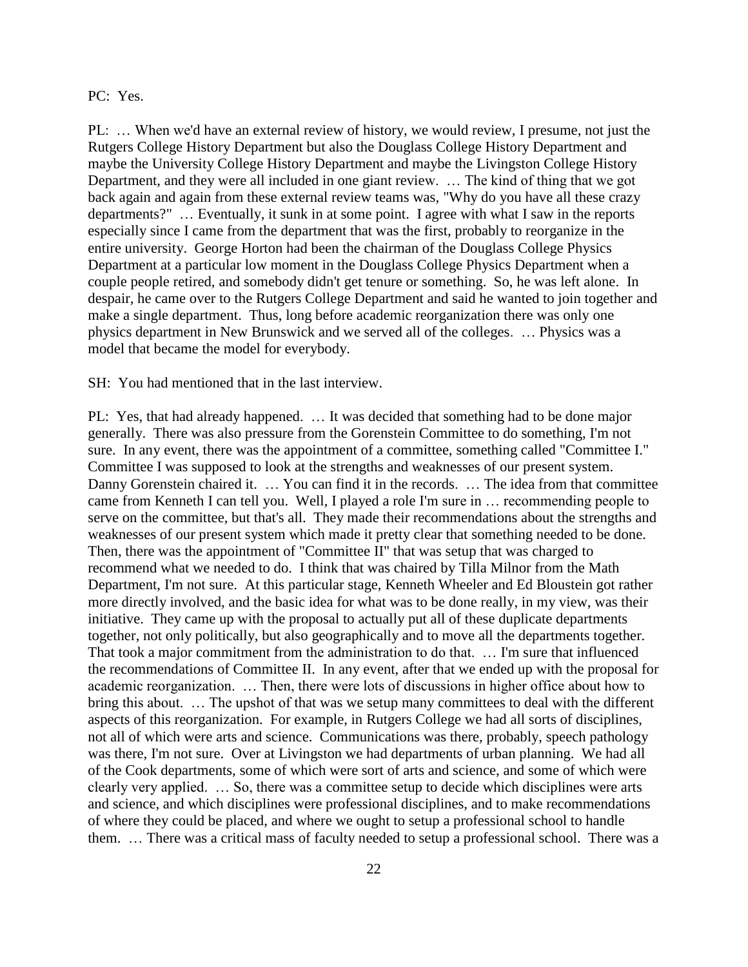### PC: Yes.

PL: … When we'd have an external review of history, we would review, I presume, not just the Rutgers College History Department but also the Douglass College History Department and maybe the University College History Department and maybe the Livingston College History Department, and they were all included in one giant review. … The kind of thing that we got back again and again from these external review teams was, "Why do you have all these crazy departments?" … Eventually, it sunk in at some point. I agree with what I saw in the reports especially since I came from the department that was the first, probably to reorganize in the entire university. George Horton had been the chairman of the Douglass College Physics Department at a particular low moment in the Douglass College Physics Department when a couple people retired, and somebody didn't get tenure or something. So, he was left alone. In despair, he came over to the Rutgers College Department and said he wanted to join together and make a single department. Thus, long before academic reorganization there was only one physics department in New Brunswick and we served all of the colleges. … Physics was a model that became the model for everybody.

SH: You had mentioned that in the last interview.

PL: Yes, that had already happened. … It was decided that something had to be done major generally. There was also pressure from the Gorenstein Committee to do something, I'm not sure. In any event, there was the appointment of a committee, something called "Committee I." Committee I was supposed to look at the strengths and weaknesses of our present system. Danny Gorenstein chaired it. ... You can find it in the records. ... The idea from that committee came from Kenneth I can tell you. Well, I played a role I'm sure in … recommending people to serve on the committee, but that's all. They made their recommendations about the strengths and weaknesses of our present system which made it pretty clear that something needed to be done. Then, there was the appointment of "Committee II" that was setup that was charged to recommend what we needed to do. I think that was chaired by Tilla Milnor from the Math Department, I'm not sure. At this particular stage, Kenneth Wheeler and Ed Bloustein got rather more directly involved, and the basic idea for what was to be done really, in my view, was their initiative. They came up with the proposal to actually put all of these duplicate departments together, not only politically, but also geographically and to move all the departments together. That took a major commitment from the administration to do that. … I'm sure that influenced the recommendations of Committee II. In any event, after that we ended up with the proposal for academic reorganization. … Then, there were lots of discussions in higher office about how to bring this about. … The upshot of that was we setup many committees to deal with the different aspects of this reorganization. For example, in Rutgers College we had all sorts of disciplines, not all of which were arts and science. Communications was there, probably, speech pathology was there, I'm not sure. Over at Livingston we had departments of urban planning. We had all of the Cook departments, some of which were sort of arts and science, and some of which were clearly very applied. … So, there was a committee setup to decide which disciplines were arts and science, and which disciplines were professional disciplines, and to make recommendations of where they could be placed, and where we ought to setup a professional school to handle them. … There was a critical mass of faculty needed to setup a professional school. There was a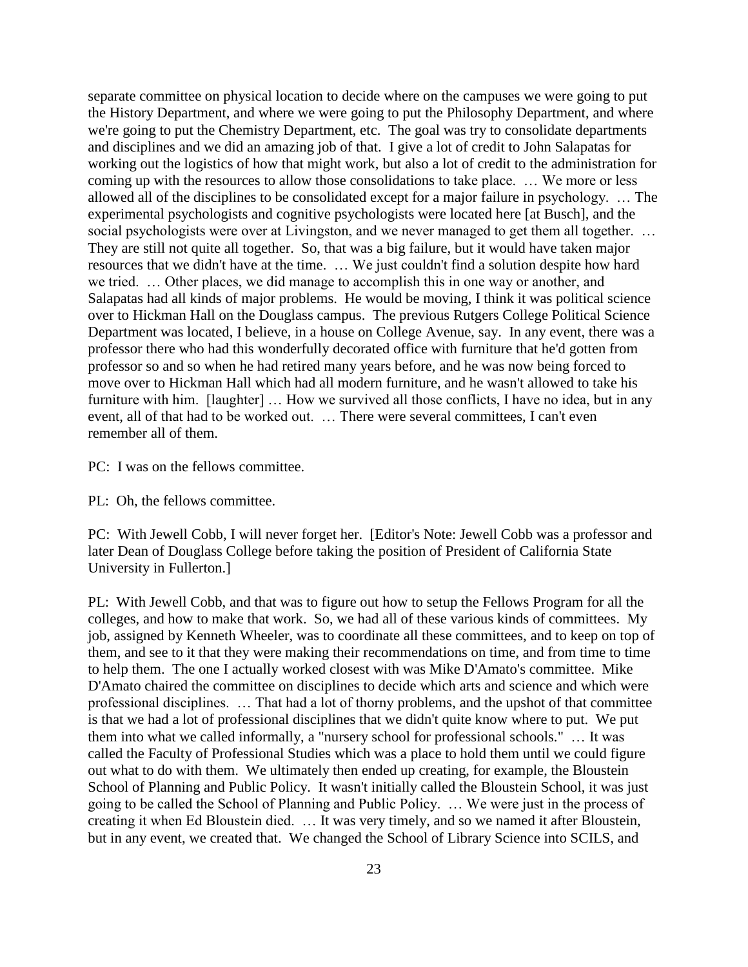separate committee on physical location to decide where on the campuses we were going to put the History Department, and where we were going to put the Philosophy Department, and where we're going to put the Chemistry Department, etc. The goal was try to consolidate departments and disciplines and we did an amazing job of that. I give a lot of credit to John Salapatas for working out the logistics of how that might work, but also a lot of credit to the administration for coming up with the resources to allow those consolidations to take place. … We more or less allowed all of the disciplines to be consolidated except for a major failure in psychology. … The experimental psychologists and cognitive psychologists were located here [at Busch], and the social psychologists were over at Livingston, and we never managed to get them all together. ... They are still not quite all together. So, that was a big failure, but it would have taken major resources that we didn't have at the time. … We just couldn't find a solution despite how hard we tried. … Other places, we did manage to accomplish this in one way or another, and Salapatas had all kinds of major problems. He would be moving, I think it was political science over to Hickman Hall on the Douglass campus. The previous Rutgers College Political Science Department was located, I believe, in a house on College Avenue, say. In any event, there was a professor there who had this wonderfully decorated office with furniture that he'd gotten from professor so and so when he had retired many years before, and he was now being forced to move over to Hickman Hall which had all modern furniture, and he wasn't allowed to take his furniture with him. [laughter] ... How we survived all those conflicts, I have no idea, but in any event, all of that had to be worked out. … There were several committees, I can't even remember all of them.

PC: I was on the fellows committee.

PL: Oh, the fellows committee.

PC: With Jewell Cobb, I will never forget her. [Editor's Note: Jewell Cobb was a professor and later Dean of Douglass College before taking the position of President of California State University in Fullerton.]

PL: With Jewell Cobb, and that was to figure out how to setup the Fellows Program for all the colleges, and how to make that work. So, we had all of these various kinds of committees. My job, assigned by Kenneth Wheeler, was to coordinate all these committees, and to keep on top of them, and see to it that they were making their recommendations on time, and from time to time to help them. The one I actually worked closest with was Mike D'Amato's committee. Mike D'Amato chaired the committee on disciplines to decide which arts and science and which were professional disciplines. … That had a lot of thorny problems, and the upshot of that committee is that we had a lot of professional disciplines that we didn't quite know where to put. We put them into what we called informally, a "nursery school for professional schools." … It was called the Faculty of Professional Studies which was a place to hold them until we could figure out what to do with them. We ultimately then ended up creating, for example, the Bloustein School of Planning and Public Policy. It wasn't initially called the Bloustein School, it was just going to be called the School of Planning and Public Policy. … We were just in the process of creating it when Ed Bloustein died. … It was very timely, and so we named it after Bloustein, but in any event, we created that. We changed the School of Library Science into SCILS, and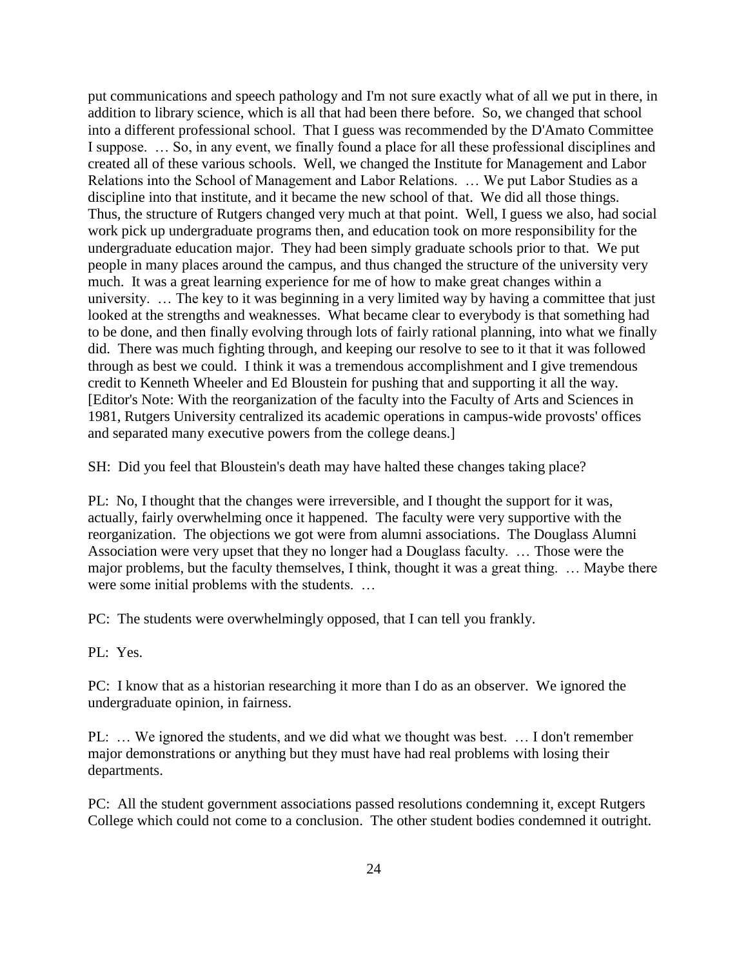put communications and speech pathology and I'm not sure exactly what of all we put in there, in addition to library science, which is all that had been there before. So, we changed that school into a different professional school. That I guess was recommended by the D'Amato Committee I suppose. … So, in any event, we finally found a place for all these professional disciplines and created all of these various schools. Well, we changed the Institute for Management and Labor Relations into the School of Management and Labor Relations. … We put Labor Studies as a discipline into that institute, and it became the new school of that. We did all those things. Thus, the structure of Rutgers changed very much at that point. Well, I guess we also, had social work pick up undergraduate programs then, and education took on more responsibility for the undergraduate education major. They had been simply graduate schools prior to that. We put people in many places around the campus, and thus changed the structure of the university very much. It was a great learning experience for me of how to make great changes within a university. … The key to it was beginning in a very limited way by having a committee that just looked at the strengths and weaknesses. What became clear to everybody is that something had to be done, and then finally evolving through lots of fairly rational planning, into what we finally did. There was much fighting through, and keeping our resolve to see to it that it was followed through as best we could. I think it was a tremendous accomplishment and I give tremendous credit to Kenneth Wheeler and Ed Bloustein for pushing that and supporting it all the way. [Editor's Note: With the reorganization of the faculty into the Faculty of Arts and Sciences in 1981, Rutgers University centralized its academic operations in campus-wide provosts' offices and separated many executive powers from the college deans.]

SH: Did you feel that Bloustein's death may have halted these changes taking place?

PL: No, I thought that the changes were irreversible, and I thought the support for it was, actually, fairly overwhelming once it happened. The faculty were very supportive with the reorganization. The objections we got were from alumni associations. The Douglass Alumni Association were very upset that they no longer had a Douglass faculty. … Those were the major problems, but the faculty themselves, I think, thought it was a great thing. … Maybe there were some initial problems with the students. …

PC: The students were overwhelmingly opposed, that I can tell you frankly.

PL: Yes.

PC: I know that as a historian researching it more than I do as an observer. We ignored the undergraduate opinion, in fairness.

PL: … We ignored the students, and we did what we thought was best. … I don't remember major demonstrations or anything but they must have had real problems with losing their departments.

PC: All the student government associations passed resolutions condemning it, except Rutgers College which could not come to a conclusion. The other student bodies condemned it outright.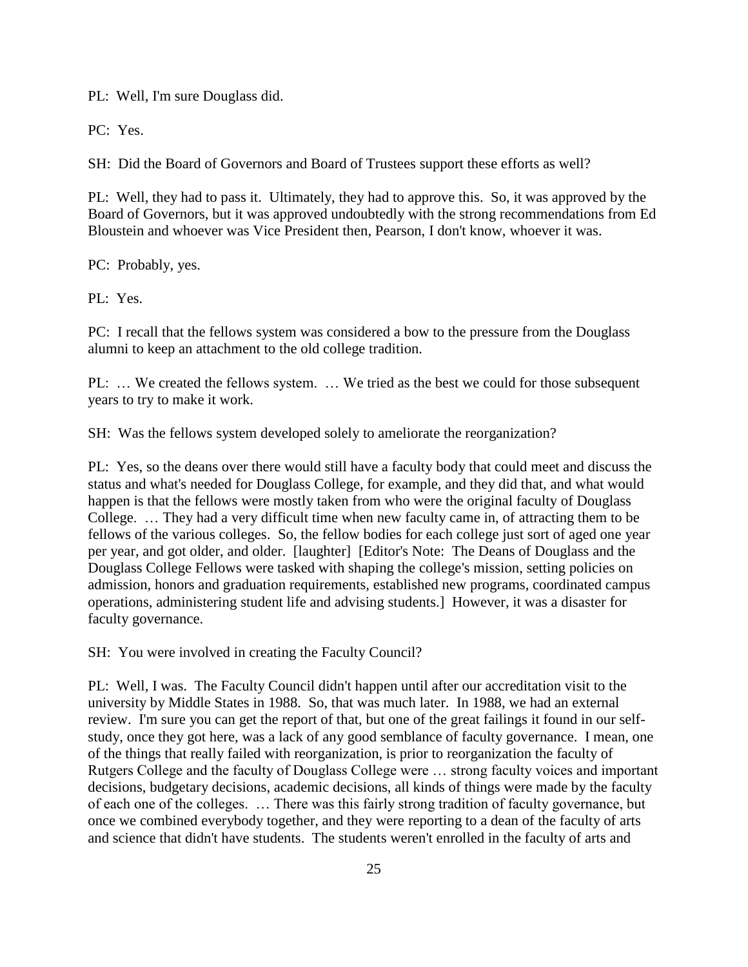PL: Well, I'm sure Douglass did.

PC: Yes.

SH: Did the Board of Governors and Board of Trustees support these efforts as well?

PL: Well, they had to pass it. Ultimately, they had to approve this. So, it was approved by the Board of Governors, but it was approved undoubtedly with the strong recommendations from Ed Bloustein and whoever was Vice President then, Pearson, I don't know, whoever it was.

PC: Probably, yes.

PL: Yes.

PC: I recall that the fellows system was considered a bow to the pressure from the Douglass alumni to keep an attachment to the old college tradition.

PL: ... We created the fellows system. ... We tried as the best we could for those subsequent years to try to make it work.

SH: Was the fellows system developed solely to ameliorate the reorganization?

PL: Yes, so the deans over there would still have a faculty body that could meet and discuss the status and what's needed for Douglass College, for example, and they did that, and what would happen is that the fellows were mostly taken from who were the original faculty of Douglass College. … They had a very difficult time when new faculty came in, of attracting them to be fellows of the various colleges. So, the fellow bodies for each college just sort of aged one year per year, and got older, and older. [laughter] [Editor's Note: The Deans of Douglass and the Douglass College Fellows were tasked with shaping the college's mission, setting policies on admission, honors and graduation requirements, established new programs, coordinated campus operations, administering student life and advising students.] However, it was a disaster for faculty governance.

SH: You were involved in creating the Faculty Council?

PL: Well, I was. The Faculty Council didn't happen until after our accreditation visit to the university by Middle States in 1988. So, that was much later. In 1988, we had an external review. I'm sure you can get the report of that, but one of the great failings it found in our selfstudy, once they got here, was a lack of any good semblance of faculty governance. I mean, one of the things that really failed with reorganization, is prior to reorganization the faculty of Rutgers College and the faculty of Douglass College were … strong faculty voices and important decisions, budgetary decisions, academic decisions, all kinds of things were made by the faculty of each one of the colleges. … There was this fairly strong tradition of faculty governance, but once we combined everybody together, and they were reporting to a dean of the faculty of arts and science that didn't have students. The students weren't enrolled in the faculty of arts and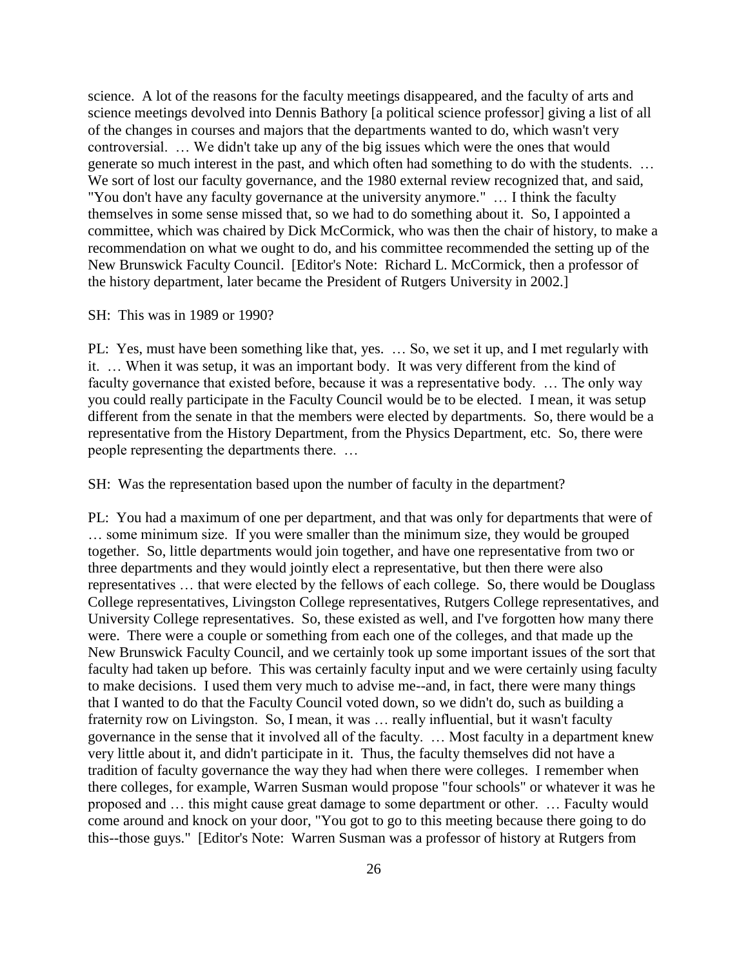science. A lot of the reasons for the faculty meetings disappeared, and the faculty of arts and science meetings devolved into Dennis Bathory [a political science professor] giving a list of all of the changes in courses and majors that the departments wanted to do, which wasn't very controversial. … We didn't take up any of the big issues which were the ones that would generate so much interest in the past, and which often had something to do with the students. … We sort of lost our faculty governance, and the 1980 external review recognized that, and said, "You don't have any faculty governance at the university anymore." … I think the faculty themselves in some sense missed that, so we had to do something about it. So, I appointed a committee, which was chaired by Dick McCormick, who was then the chair of history, to make a recommendation on what we ought to do, and his committee recommended the setting up of the New Brunswick Faculty Council. [Editor's Note: Richard L. McCormick, then a professor of the history department, later became the President of Rutgers University in 2002.]

#### SH: This was in 1989 or 1990?

PL: Yes, must have been something like that, yes. … So, we set it up, and I met regularly with it. … When it was setup, it was an important body. It was very different from the kind of faculty governance that existed before, because it was a representative body. … The only way you could really participate in the Faculty Council would be to be elected. I mean, it was setup different from the senate in that the members were elected by departments. So, there would be a representative from the History Department, from the Physics Department, etc. So, there were people representing the departments there. …

SH: Was the representation based upon the number of faculty in the department?

PL: You had a maximum of one per department, and that was only for departments that were of … some minimum size. If you were smaller than the minimum size, they would be grouped together. So, little departments would join together, and have one representative from two or three departments and they would jointly elect a representative, but then there were also representatives … that were elected by the fellows of each college. So, there would be Douglass College representatives, Livingston College representatives, Rutgers College representatives, and University College representatives. So, these existed as well, and I've forgotten how many there were. There were a couple or something from each one of the colleges, and that made up the New Brunswick Faculty Council, and we certainly took up some important issues of the sort that faculty had taken up before. This was certainly faculty input and we were certainly using faculty to make decisions. I used them very much to advise me--and, in fact, there were many things that I wanted to do that the Faculty Council voted down, so we didn't do, such as building a fraternity row on Livingston. So, I mean, it was … really influential, but it wasn't faculty governance in the sense that it involved all of the faculty. … Most faculty in a department knew very little about it, and didn't participate in it. Thus, the faculty themselves did not have a tradition of faculty governance the way they had when there were colleges. I remember when there colleges, for example, Warren Susman would propose "four schools" or whatever it was he proposed and … this might cause great damage to some department or other. … Faculty would come around and knock on your door, "You got to go to this meeting because there going to do this--those guys." [Editor's Note: Warren Susman was a professor of history at Rutgers from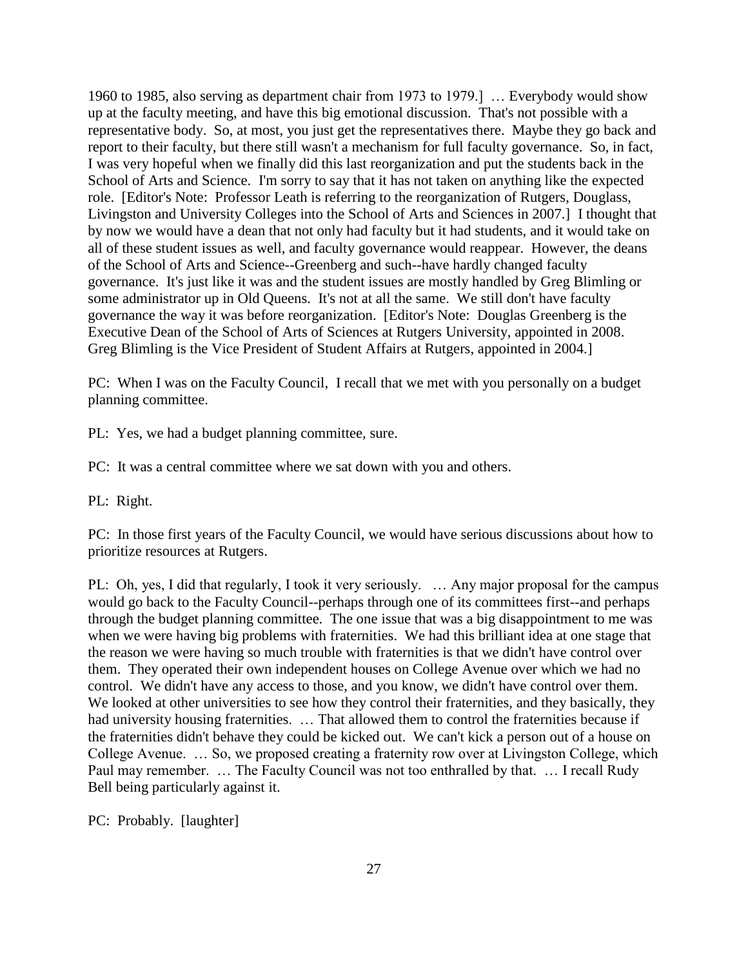1960 to 1985, also serving as department chair from 1973 to 1979.] … Everybody would show up at the faculty meeting, and have this big emotional discussion. That's not possible with a representative body. So, at most, you just get the representatives there. Maybe they go back and report to their faculty, but there still wasn't a mechanism for full faculty governance. So, in fact, I was very hopeful when we finally did this last reorganization and put the students back in the School of Arts and Science. I'm sorry to say that it has not taken on anything like the expected role. [Editor's Note: Professor Leath is referring to the reorganization of Rutgers, Douglass, Livingston and University Colleges into the School of Arts and Sciences in 2007.] I thought that by now we would have a dean that not only had faculty but it had students, and it would take on all of these student issues as well, and faculty governance would reappear. However, the deans of the School of Arts and Science--Greenberg and such--have hardly changed faculty governance. It's just like it was and the student issues are mostly handled by Greg Blimling or some administrator up in Old Queens. It's not at all the same. We still don't have faculty governance the way it was before reorganization. [Editor's Note: Douglas Greenberg is the Executive Dean of the School of Arts of Sciences at Rutgers University, appointed in 2008. Greg Blimling is the Vice President of Student Affairs at Rutgers, appointed in 2004.]

PC: When I was on the Faculty Council, I recall that we met with you personally on a budget planning committee.

PL: Yes, we had a budget planning committee, sure.

PC: It was a central committee where we sat down with you and others.

PL: Right.

PC: In those first years of the Faculty Council, we would have serious discussions about how to prioritize resources at Rutgers.

PL: Oh, yes, I did that regularly, I took it very seriously. … Any major proposal for the campus would go back to the Faculty Council--perhaps through one of its committees first--and perhaps through the budget planning committee. The one issue that was a big disappointment to me was when we were having big problems with fraternities. We had this brilliant idea at one stage that the reason we were having so much trouble with fraternities is that we didn't have control over them. They operated their own independent houses on College Avenue over which we had no control. We didn't have any access to those, and you know, we didn't have control over them. We looked at other universities to see how they control their fraternities, and they basically, they had university housing fraternities. … That allowed them to control the fraternities because if the fraternities didn't behave they could be kicked out. We can't kick a person out of a house on College Avenue. … So, we proposed creating a fraternity row over at Livingston College, which Paul may remember. … The Faculty Council was not too enthralled by that. … I recall Rudy Bell being particularly against it.

PC: Probably. [laughter]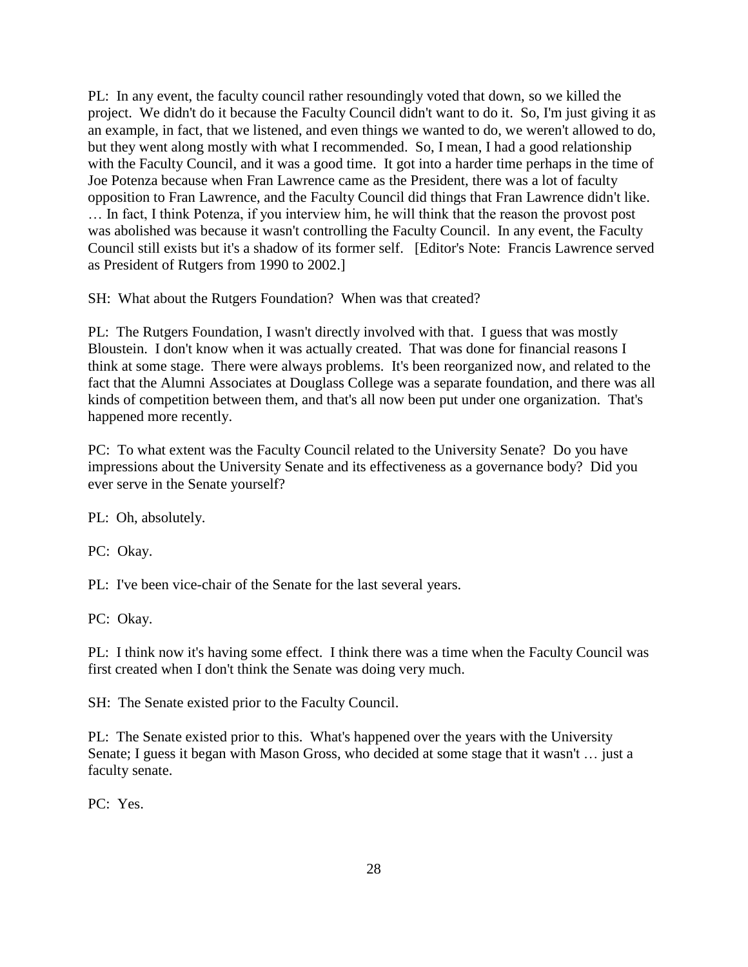PL: In any event, the faculty council rather resoundingly voted that down, so we killed the project. We didn't do it because the Faculty Council didn't want to do it. So, I'm just giving it as an example, in fact, that we listened, and even things we wanted to do, we weren't allowed to do, but they went along mostly with what I recommended. So, I mean, I had a good relationship with the Faculty Council, and it was a good time. It got into a harder time perhaps in the time of Joe Potenza because when Fran Lawrence came as the President, there was a lot of faculty opposition to Fran Lawrence, and the Faculty Council did things that Fran Lawrence didn't like. … In fact, I think Potenza, if you interview him, he will think that the reason the provost post was abolished was because it wasn't controlling the Faculty Council. In any event, the Faculty Council still exists but it's a shadow of its former self. [Editor's Note: Francis Lawrence served as President of Rutgers from 1990 to 2002.]

SH: What about the Rutgers Foundation? When was that created?

PL: The Rutgers Foundation, I wasn't directly involved with that. I guess that was mostly Bloustein. I don't know when it was actually created. That was done for financial reasons I think at some stage. There were always problems. It's been reorganized now, and related to the fact that the Alumni Associates at Douglass College was a separate foundation, and there was all kinds of competition between them, and that's all now been put under one organization. That's happened more recently.

PC: To what extent was the Faculty Council related to the University Senate? Do you have impressions about the University Senate and its effectiveness as a governance body? Did you ever serve in the Senate yourself?

PL: Oh, absolutely.

PC: Okay.

PL: I've been vice-chair of the Senate for the last several years.

PC: Okay.

PL: I think now it's having some effect. I think there was a time when the Faculty Council was first created when I don't think the Senate was doing very much.

SH: The Senate existed prior to the Faculty Council.

PL: The Senate existed prior to this. What's happened over the years with the University Senate; I guess it began with Mason Gross, who decided at some stage that it wasn't … just a faculty senate.

PC: Yes.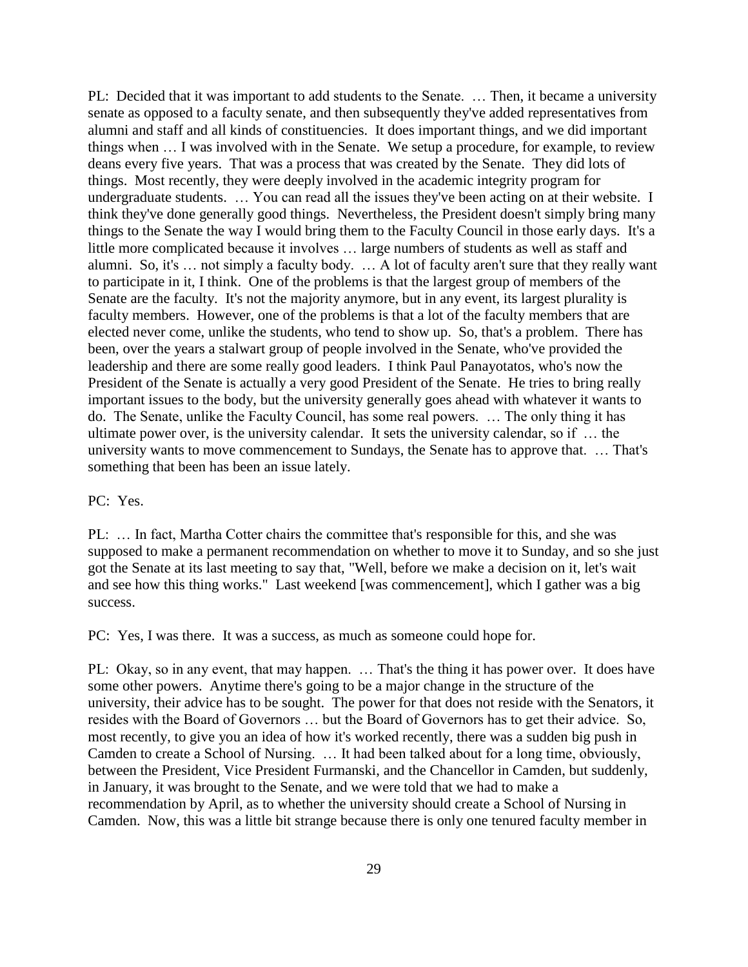PL: Decided that it was important to add students to the Senate. … Then, it became a university senate as opposed to a faculty senate, and then subsequently they've added representatives from alumni and staff and all kinds of constituencies. It does important things, and we did important things when … I was involved with in the Senate. We setup a procedure, for example, to review deans every five years. That was a process that was created by the Senate. They did lots of things. Most recently, they were deeply involved in the academic integrity program for undergraduate students. … You can read all the issues they've been acting on at their website. I think they've done generally good things. Nevertheless, the President doesn't simply bring many things to the Senate the way I would bring them to the Faculty Council in those early days. It's a little more complicated because it involves … large numbers of students as well as staff and alumni. So, it's … not simply a faculty body. … A lot of faculty aren't sure that they really want to participate in it, I think. One of the problems is that the largest group of members of the Senate are the faculty. It's not the majority anymore, but in any event, its largest plurality is faculty members. However, one of the problems is that a lot of the faculty members that are elected never come, unlike the students, who tend to show up. So, that's a problem. There has been, over the years a stalwart group of people involved in the Senate, who've provided the leadership and there are some really good leaders. I think Paul Panayotatos, who's now the President of the Senate is actually a very good President of the Senate. He tries to bring really important issues to the body, but the university generally goes ahead with whatever it wants to do. The Senate, unlike the Faculty Council, has some real powers. … The only thing it has ultimate power over, is the university calendar. It sets the university calendar, so if … the university wants to move commencement to Sundays, the Senate has to approve that. … That's something that been has been an issue lately.

#### PC: Yes.

PL: … In fact, Martha Cotter chairs the committee that's responsible for this, and she was supposed to make a permanent recommendation on whether to move it to Sunday, and so she just got the Senate at its last meeting to say that, "Well, before we make a decision on it, let's wait and see how this thing works." Last weekend [was commencement], which I gather was a big success.

PC: Yes, I was there. It was a success, as much as someone could hope for.

PL: Okay, so in any event, that may happen. ... That's the thing it has power over. It does have some other powers. Anytime there's going to be a major change in the structure of the university, their advice has to be sought. The power for that does not reside with the Senators, it resides with the Board of Governors … but the Board of Governors has to get their advice. So, most recently, to give you an idea of how it's worked recently, there was a sudden big push in Camden to create a School of Nursing. … It had been talked about for a long time, obviously, between the President, Vice President Furmanski, and the Chancellor in Camden, but suddenly, in January, it was brought to the Senate, and we were told that we had to make a recommendation by April, as to whether the university should create a School of Nursing in Camden. Now, this was a little bit strange because there is only one tenured faculty member in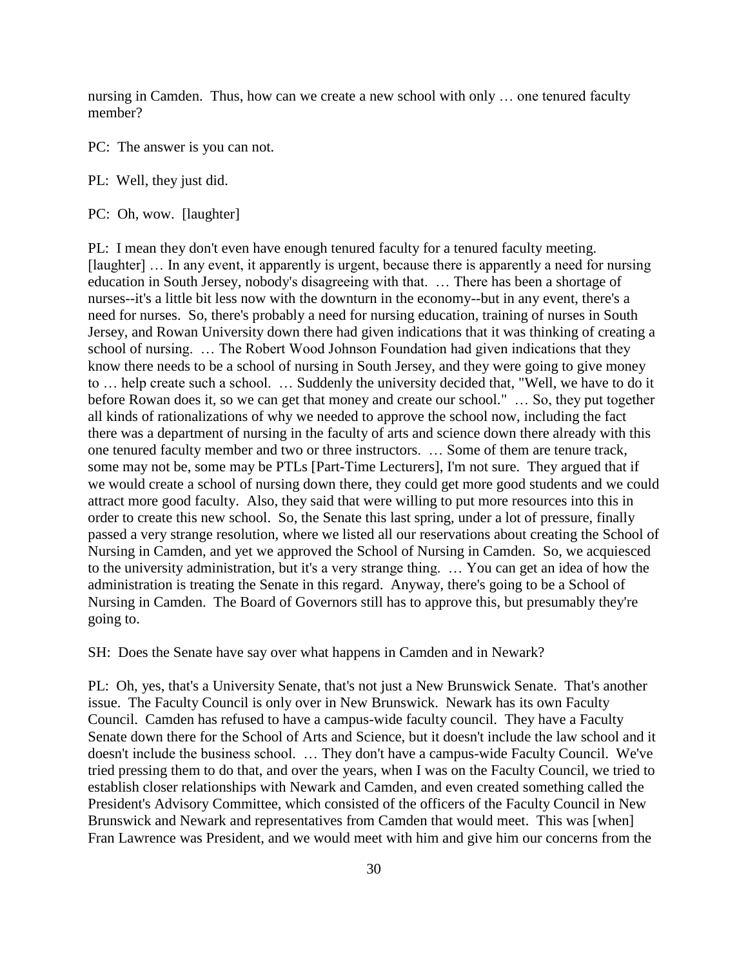nursing in Camden. Thus, how can we create a new school with only … one tenured faculty member?

PC: The answer is you can not.

PL: Well, they just did.

PC: Oh, wow. [laughter]

PL: I mean they don't even have enough tenured faculty for a tenured faculty meeting. [laughter] ... In any event, it apparently is urgent, because there is apparently a need for nursing education in South Jersey, nobody's disagreeing with that. … There has been a shortage of nurses--it's a little bit less now with the downturn in the economy--but in any event, there's a need for nurses. So, there's probably a need for nursing education, training of nurses in South Jersey, and Rowan University down there had given indications that it was thinking of creating a school of nursing. … The Robert Wood Johnson Foundation had given indications that they know there needs to be a school of nursing in South Jersey, and they were going to give money to … help create such a school. … Suddenly the university decided that, "Well, we have to do it before Rowan does it, so we can get that money and create our school." … So, they put together all kinds of rationalizations of why we needed to approve the school now, including the fact there was a department of nursing in the faculty of arts and science down there already with this one tenured faculty member and two or three instructors. … Some of them are tenure track, some may not be, some may be PTLs [Part-Time Lecturers], I'm not sure. They argued that if we would create a school of nursing down there, they could get more good students and we could attract more good faculty. Also, they said that were willing to put more resources into this in order to create this new school. So, the Senate this last spring, under a lot of pressure, finally passed a very strange resolution, where we listed all our reservations about creating the School of Nursing in Camden, and yet we approved the School of Nursing in Camden. So, we acquiesced to the university administration, but it's a very strange thing. … You can get an idea of how the administration is treating the Senate in this regard. Anyway, there's going to be a School of Nursing in Camden. The Board of Governors still has to approve this, but presumably they're going to.

SH: Does the Senate have say over what happens in Camden and in Newark?

PL: Oh, yes, that's a University Senate, that's not just a New Brunswick Senate. That's another issue. The Faculty Council is only over in New Brunswick. Newark has its own Faculty Council. Camden has refused to have a campus-wide faculty council. They have a Faculty Senate down there for the School of Arts and Science, but it doesn't include the law school and it doesn't include the business school. … They don't have a campus-wide Faculty Council. We've tried pressing them to do that, and over the years, when I was on the Faculty Council, we tried to establish closer relationships with Newark and Camden, and even created something called the President's Advisory Committee, which consisted of the officers of the Faculty Council in New Brunswick and Newark and representatives from Camden that would meet. This was [when] Fran Lawrence was President, and we would meet with him and give him our concerns from the